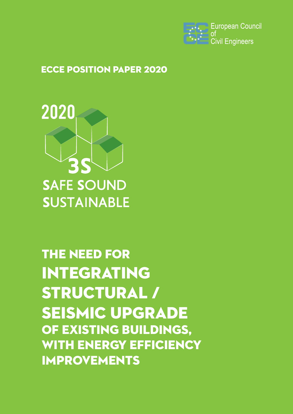

## ECCE Position Paper 2020



# The need for integrating STRUCTURAL / Seismic Upgrade of Existing Buildings, WITH ENERGY EFFICIENCY Improvements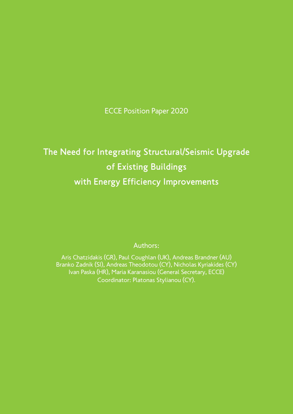ECCE Position Paper 2020

# The Need for Integrating Structural/Seismic Upgrade of Existing Buildings with Energy Efficiency Improvements

Authors:

Aris Chatzidakis (GR), Paul Coughlan (UK), Andreas Brandner (AU) Branko Zadnik (SI), Andreas Theodotou (CY), Nicholas Kyriakides (CY) Ivan Paska (HR), Maria Karanasiou (General Secretary, ECCE) Coordinator: Platonas Stylianou (CY).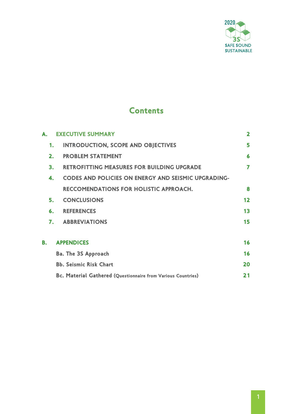

## **Contents**

|    | A. EXECUTIVE SUMMARY                                         | $\overline{\mathbf{2}}$ |
|----|--------------------------------------------------------------|-------------------------|
| 1. | <b>INTRODUCTION, SCOPE AND OBJECTIVES</b>                    | 5                       |
| 2. | <b>PROBLEM STATEMENT</b>                                     | 6                       |
| 3. | <b>RETROFITTING MEASURES FOR BUILDING UPGRADE</b>            | 7                       |
| 4. | <b>CODES AND POLICIES ON ENERGY AND SEISMIC UPGRADING-</b>   |                         |
|    | <b>RECCOMENDATIONS FOR HOLISTIC APPROACH.</b>                | 8                       |
| 5. | <b>CONCLUSIONS</b>                                           | 12                      |
| 6. | <b>REFERENCES</b>                                            | 13                      |
|    | <b>7. ABBREVIATIONS</b>                                      | 15                      |
| В. | <b>APPENDICES</b>                                            | 16                      |
|    | <b>Ba. The 3S Approach</b>                                   | 16                      |
|    | <b>Bb. Seismic Risk Chart</b>                                | 20                      |
|    | Bc. Material Gathered (Questionnaire from Various Countries) | 21                      |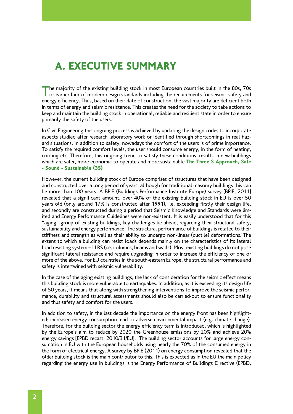## A. EXECUTIVE SUMMARY

The majority of the existing building stock in most European countries built in the 80s, 70s or earlier lack of modern design standards including the requirements for seismic safety and energy efficiency. Thus, based on their date of construction, the vast majority are deficient both in terms of energy and seismic resistance. This creates the need for the society to take actions to keep and maintain the building stock in operational, reliable and resilient state in order to ensure primarily the safety of the users.

In Civil Engineering this ongoing process is achieved by updating the design codes to incorporate aspects studied after research laboratory work or identified through shortcomings in real hazard situations. In addition to safety, nowadays the comfort of the users is of prime importance. To satisfy the required comfort levels, the user should consume energy, in the form of heating, cooling etc. Therefore, this ongoing trend to satisfy these conditions, results in new buildings which are safer, more economic to operate and more sustainable The Three S Approach, Safe - Sound - Sustainable (3S)

However, the current building stock of Europe comprises of structures that have been designed and constructed over a long period of years, although for traditional masonry buildings this can be more than 100 years. A BPIE (Buildings Performance Institute Europe) survey [BPIE, 2011] revealed that a significant amount, over 40% of the existing building stock in EU is over 50 years old (only around 17% is constructed after 1991), i.e. exceeding firstly their design life, and secondly are constructed during a period that Seismic Knowledge and Standards were limited and Energy Performance Guidelines were non-existent. It is easily understood that for this "aging" group of existing buildings, key challenges lie ahead, regarding their structural safety, sustainability and energy performance. The structural performance of buildings is related to their stiffness and strength as well as their ability to undergo non-linear (ductile) deformations. The extent to which a building can resist loads depends mainly on the characteristics of its lateral load resisting system – LLRS (i.e. columns, beams and walls). Most existing buildings do not pose significant lateral resistance and require upgrading in order to increase the efficiency of one or more of the above. For EU countries in the south-eastern Europe, the structural performance and safety is intertwined with seismic vulnerability.

In the case of the aging existing buildings, the lack of consideration for the seismic effect means this building stock is more vulnerable to earthquakes. In addition, as it is exceeding its design life of 50 years, it means that along with strengthening interventions to improve the seismic performance, durability and structural assessments should also be carried-out to ensure functionality and thus safety and comfort for the users.

In addition to safety, in the last decade the importance on the energy front has been highlighted; increased energy consumption lead to adverse environmental impact (e.g. climate change). Therefore, for the building sector the energy efficiency term is introduced, which is highlighted by the Europe's aim to reduce by 2020 the Greenhouse emissions by 20% and achieve 20% energy savings [EPBD recast, 2010/31/EU]. The building sector accounts for large energy consumption in EU with the European households using nearly the 70% of the consumed energy in the form of electrical energy. A survey by BPIE (2011) on energy consumption revealed that the older building stock is the main contributor to this. This is expected as in the EU the main policy regarding the energy use in buildings is the Energy Performance of Buildings Directive (EPBD,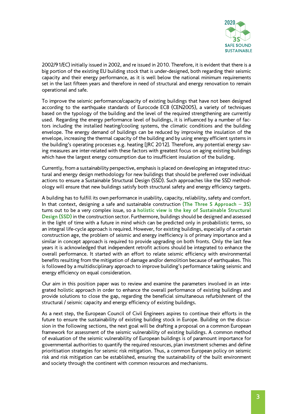

2002/91/EC) initially issued in 2002, and re issued in 2010. Therefore, it is evident that there is a big portion of the existing EU building stock that is under-designed, both regarding their seismic capacity and their energy performance, as it is well below the national minimum requirements set in the last fifteen years and therefore in need of structural and energy renovation to remain operational and safe.

To improve the seismic performance/capacity of existing buildings that have not been designed according to the earthquake standards of Eurocode EC8 (CEN2005), a variety of techniques based on the typology of the building and the level of the required strengthening are currently used. Regarding the energy performance level of buildings, it is influenced by a number of factors including the installed heating/cooling systems, the climatic conditions and the building envelope. The energy demand of buildings can be reduced by improving the insulation of the envelope, increasing the thermal capacity of the building and by using energy efficient systems in the building's operating processes e.g. heating [JRC 2012]. Therefore, any potential energy saving measures are inter-related with these factors with greatest focus on aging existing buildings which have the largest energy consumption due to insufficient insulation of the building.

Currently, from a sustainability perspective, emphasis is placed on developing an integrated structural and energy design methodology for new buildings that should be preferred over individual actions to ensure a Sustainable Structural Design (SSD). Such approaches like the SSD methodology will ensure that new buildings satisfy both structural safety and energy efficiency targets.

A building has to fulfill its own performance in usability, capacity, reliability, safety and comfort. In that context, designing a safe and sustainable construction **(The Three S Approach – 3S)** turns out to be a very complex issue, so a **holistic view is the key of Sustainable Structural Design (SSD)** in the construction sector. Furthermore, buildings should be designed and assessed in the light of time with a future in mind which can be predicted only in probabilistic terms, so an integral life-cycle approach is required. However, for existing buildings, especially of a certain construction age, the problem of seismic and energy inefficiency is of primary importance and a similar in concept approach is required to provide upgrading on both fronts. Only the last few years it is acknowledged that independent retrofit actions should be integrated to enhance the overall performance. It started with an effort to relate seismic efficiency with environmental benefits resulting from the mitigation of damage and/or demolition because of earthquakes. This is followed by a multidisciplinary approach to improve building's performance taking seismic and energy efficiency on equal consideration.

Our aim in this position paper was to review and examine the parameters involved in an integrated holistic approach in order to enhance the overall performance of existing buildings and provide solutions to close the gap, regarding the beneficial simultaneous refurbishment of the structural / seismic capacity and energy efficiency of existing buildings.

As a next step, the European Council of Civil Engineers aspires to continue their efforts in the future to ensure the sustainability of existing building stock in Europe. Building on the discussion in the following sections, the next goal will be drafting a proposal on a common European framework for assessment of the seismic vulnerability of existing buildings. A common method of evaluation of the seismic vulnerability of European buildings is of paramount importance for governmental authorities to quantify the required resources, plan investment schemes and define prioritisation strategies for seismic risk mitigation. Thus, a common European policy on seismic risk and risk mitigation can be established, ensuring the sustainability of the built environment and society through the continent with common resources and mechanisms.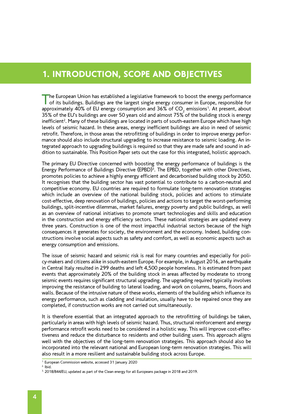## 1. INTRODUCTION, SCOPE AND OBJECTIVES

The European Union has established a legislative framework to boost the energy performance of its buildings. Buildings are the largest single energy consumer in Europe, responsible for approximately 40% of EU energy consumption and 36% of CO $_{\textrm{\tiny{2}}}$  emissions<sup>1</sup>. At present, about 35% of the EU's buildings are over 50 years old and almost 75% of the building stock is energy inefficient<sup>2</sup>. Many of these buildings are located in parts of south-eastern Europe which have high levels of seismic hazard. In these areas, energy inefficient buildings are also in need of seismic retrofit. Therefore, in those areas the retrofitting of buildings in order to improve energy performance should also include structural upgrading to increase resistance to seismic loading. An integrated approach to upgrading buildings is required so that they are made safe and sound in addition to sustainable. This Position Paper sets out the case for this integrated, holistic approach.

The primary EU Directive concerned with boosting the energy performance of buildings is the Energy Performance of Buildings Directive (EPBD)<sup>3</sup>. The EPBD, together with other Directives, promotes policies to achieve a highly energy efficient and decarbonised building stock by 2050. It recognises that the building sector has vast potential to contribute to a carbon-neutral and competitive economy. EU countries are required to formulate long-term renovation strategies which include an overview of the national building stock, policies and actions to stimulate cost-effective, deep renovation of buildings, policies and actions to target the worst-performing buildings, split-incentive dilemmas, market failures, energy poverty and public buildings, as well as an overview of national initiatives to promote smart technologies and skills and education in the construction and energy efficiency sectors. These national strategies are updated every three years. Construction is one of the most impactful industrial sectors because of the high consequences it generates for society, the environment and the economy. Indeed, building constructions involve social aspects such as safety and comfort, as well as economic aspects such as energy consumption and emissions.

The issue of seismic hazard and seismic risk is real for many countries and especially for policy-makers and citizens alike in south-eastern Europe. For example, in August 2016, an earthquake in Central Italy resulted in 299 deaths and left 4,500 people homeless. It is estimated from past events that approximately 20% of the building stock in areas affected by moderate to strong seismic events requires significant structural upgrading. The upgrading required typically involves improving the resistance of building to lateral loading, and work on columns, beams, floors and walls. Because of the intrusive nature of these works, elements of the building which influence its energy performance, such as cladding and insulation, usually have to be repaired once they are completed, if construction works are not carried out simultaneously.

It is therefore essential that an integrated approach to the retrofitting of buildings be taken, particularly in areas with high levels of seismic hazard. Thus, structural reinforcement and energy performance retrofit works need to be considered in a holistic way. This will improve cost-effectiveness and reduce the disturbance to residents and other building users. This approach aligns well with the objectives of the long-term renovation strategies. This approach should also be incorporated into the relevant national and European long-term renovation strategies. This will also result in a more resilient and sustainable building stock across Europe.

 $2.$  Ibid.

<sup>1.</sup> European Commission website, accessed 31 January 2020

<sup>&</sup>lt;sup>3.</sup> 2018/844/EU, updated as part of the Clean energy for all Europeans package in 2018 and 2019.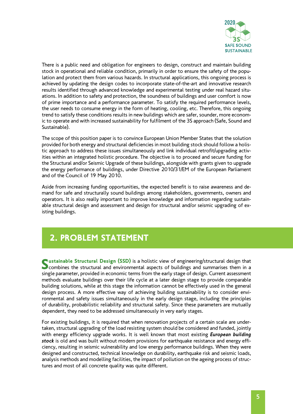

There is a public need and obligation for engineers to design, construct and maintain building stock in operational and reliable condition, primarily in order to ensure the safety of the population and protect them from various hazards. In structural applications, this ongoing process is achieved by updating the design codes to incorporate state-of-the-art and innovative research results identified through advanced knowledge and experimental testing under real hazard situations. In addition to safety and protection, the soundness of buildings and user comfort is now of prime importance and a performance parameter. To satisfy the required performance levels, the user needs to consume energy in the form of heating, cooling, etc. Therefore, this ongoing trend to satisfy these conditions results in new buildings which are safer, sounder, more economic to operate and with increased sustainability for fulfilment of the 3S approach (Safe, Sound and Sustainable).

The scope of this position paper is to convince European Union Member States that the solution provided for both energy and structural deficiencies in most building stock should follow a holistic approach to address these issues simultaneously and link individual retrofit/upgrading activities within an integrated holistic procedure. The objective is to proceed and secure funding for the Structural and/or Seismic Upgrade of these buildings, alongside with grants given to upgrade the energy performance of buildings, under Directive 2010/31/EM of the European Parliament and of the Council of 19 May 2010.

Aside from increasing funding opportunities, the expected benefit is to raise awareness and demand for safe and structurally sound buildings among stakeholders, governments, owners and operators. It is also really important to improve knowledge and information regarding sustainable structural design and assessment and design for structural and/or seismic upgrading of existing buildings.

## 2. PROBLEM STATEMENT

Sustainable Structural Design (SSD) is a holistic view of engineering/structural design that combines the structural and environmental aspects of buildings and summarises them in a single parameter, provided in economic terms from the early stage of design. Current assessment methods evaluate buildings over their life cycle at a later design stage to provide comparable building solutions, while at this stage the information cannot be effectively used in the general design process. A more effective way of achieving building sustainability is to consider environmental and safety issues simultaneously in the early design stage, including the principles of durability, probabilistic reliability and structural safety. Since these parameters are mutually dependent, they need to be addressed simultaneously in very early stages.

For existing buildings, it is required that when renovation projects of a certain scale are undertaken, structural upgrading of the load resisting system should be considered and funded, jointly with energy efficiency upgrade works. It is well known that most existing *European building stock* is old and was built without modern provisions for earthquake resistance and energy efficiency, resulting in seismic vulnerability and low energy performance buildings. When they were designed and constructed, technical knowledge on durability, earthquake risk and seismic loads, analysis methods and modelling facilities, the impact of pollution on the ageing process of structures and most of all concrete quality was quite different.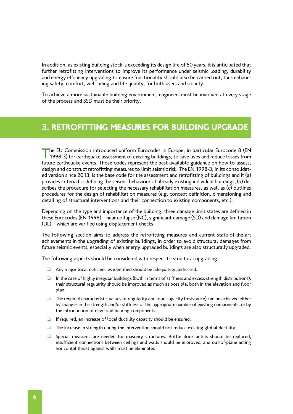In addition, as existing building stock is exceeding its design life of 50 years, it is anticipated that further retrofitting interventions to improve its performance under seismic loading, durability and energy efficiency upgrading to ensure functionality should also be carried out, thus enhancing safety, comfort, well-being and life quality, for both users and society.

To achieve a more sustainable building environment, engineers must be involved at every stage of the process and SSD must be their priority.

## 3. RETROFITTING MEASURES FOR BUILDING UPGRADE

The EU Commission introduced uniform Eurocodes in Europe, in particular Eurocode 8 (EN 1998-3) for earthquake assessment of existing buildings, to save lives and reduce losses from future earthquake events. Those codes represent the best available guidance on how to assess, design and construct retrofitting measures to limit seismic risk. The EN 1998-3, in its consolidated version since 2013, is the base code for the assessment and retrofitting of buildings and it (a) provides criteria for defining the seismic behaviour of already existing individual buildings, (b) describes the procedure for selecting the necessary rehabilitation measures, as well as (c) outlines procedures for the design of rehabilitation measures (e.g. concept definition, dimensioning and detailing of structural interventions and their connection to existing components, etc.).

Depending on the type and importance of the building, three damage limit states are defined in these Eurocodes (EN 1998) – near collapse (NC), significant damage (SD) and damage limitation (DL) – which are verified using displacement checks.

The following section aims to address the retrofitting measures and current state-of-the-art achievements in the upgrading of existing buildings, in order to avoid structural damages from future seismic events, especially when energy upgraded buildings are also structurally upgraded.

The following aspects should be considered with respect to structural upgrading:

- ❏ Any major local deficiencies identified should be adequately addressed.
- ❏ In the case of highly irregular buildings (both in terms of stiffness and excess strength distributions), their structural regularity should be improved as much as possible, both in the elevation and floor plan.
- ❏ The required characteristic values of regularity and load capacity (resistance) can be achieved either by changes in the strength and/or stiffness of the appropriate number of existing components, or by the introduction of new load-bearing components.
- ❏ If required, an increase of local ductility capacity should be ensured.
- ❏ The increase in strength during the intervention should not reduce existing global ductility.
- ❏ Special measures are needed for masonry structures. Brittle door lintels should be replaced, insufficient connections between ceilings and walls should be improved, and out-of-plane acting horizontal thrust against walls must be eliminated.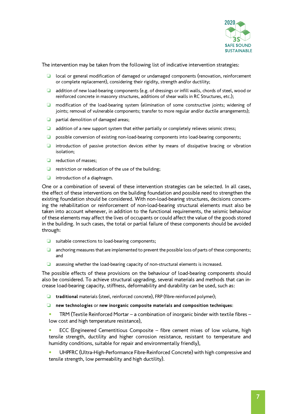

The intervention may be taken from the following list of indicative intervention strategies:

- ❏ local or general modification of damaged or undamaged components (renovation, reinforcement or complete replacement), considering their rigidity, strength and/or ductility;
- ❏ addition of new load-bearing components (e.g. of dressings or infill walls, chords of steel, wood or reinforced concrete in masonry structures, additions of shear walls in RC Structures, etc.);
- ❏ modification of the load-bearing system (elimination of some constructive joints; widening of joints; removal of vulnerable components; transfer to more regular and/or ductile arrangements);
- ❏ partial demolition of damaged areas;
- ❏ addition of a new support system that either partially or completely relieves seismic stress;
- ❏ possible conversion of existing non-load-bearing components into load-bearing components;
- ❏ introduction of passive protection devices either by means of dissipative bracing or vibration isolation;
- ❏ reduction of masses;
- ❏ restriction or rededication of the use of the building;
- ❏ introduction of a diaphragm.

One or a combination of several of these intervention strategies can be selected. In all cases, the effect of these interventions on the building foundation and possible need to strengthen the existing foundation should be considered. With non-load-bearing structures, decisions concerning the rehabilitation or reinforcement of non-load-bearing structural elements must also be taken into account whenever, in addition to the functional requirements, the seismic behaviour of these elements may affect the lives of occupants or could affect the value of the goods stored in the building. In such cases, the total or partial failure of these components should be avoided through:

- ❏ suitable connections to load-bearing components;
- ❏ anchoring measures that are implemented to prevent the possible loss of parts of these components; and
- ❏ assessing whether the load-bearing capacity of non-structural elements is increased.

The possible effects of these provisions on the behaviour of load-bearing components should also be considered. To achieve structural upgrading, several materials and methods that can increase load-bearing capacity, stiffness, deformability and durability can be used, such as:

- ❏ **traditional** materials (steel, reinforced concrete), FRP (fibre-reinforced polymer);
- ❏ **new technologies** or **new inorganic composite materials and composition techniques**:
- TRM (Textile Reinforced Mortar a combination of inorganic binder with textile fibres low cost and high temperature resistance),

ECC (Engineered Cementitious Composite - fibre cement mixes of low volume, high tensile strength, ductility and higher corrosion resistance, resistant to temperature and humidity conditions, suitable for repair and environmentally friendly),

UHPFRC (Ultra-High-Performance Fibre-Reinforced Concrete) with high compressive and tensile strength, low permeability and high ductility).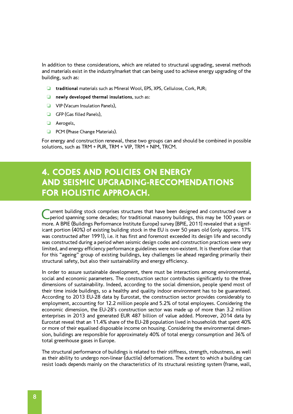In addition to these considerations, which are related to structural upgrading, several methods and materials exist in the industry/market that can being used to achieve energy upgrading of the building, such as:

- ❏ **traditional** materials such as Mineral Wool, EPS, XPS, Cellulose, Cork, PUR;
- ❏ **newly developed thermal insulations**, such as:
- ❏ VIP (Vacum Insulation Panels),
- ❏ GFP (Gas filled Panels),
- ❏ Aerogels,
- ❏ PCM (Phase Change Materials).

For energy and construction renewal, these two groups can and should be combined in possible solutions, such as TRM + PUR, TRM + VIP, TRM + NIM, TRCM.

## 4. CODES AND POLICIES ON ENERGY AND SEISMIC UPGRADING-RECCOMENDATIONS FOR HOLISTIC APPROACH.

Current building stock comprises structures that have been designed and constructed over a period spanning some decades; for traditional masonry buildings, this may be 100 years or more. A BPIE (Buildings Performance Institute Europe) survey [BPIE, 2011] revealed that a significant portion (40%) of existing building stock in the EU is over 50 years old (only approx. 17% was constructed after 1991), i.e. it has first and foremost exceeded its design life and secondly was constructed during a period when seismic design codes and construction practices were very limited, and energy efficiency performance guidelines were non-existent. It is therefore clear that for this "ageing" group of existing buildings, key challenges lie ahead regarding primarily their structural safety, but also their sustainability and energy efficiency.

In order to assure sustainable development, there must be interactions among environmental, social and economic parameters. The construction sector contributes significantly to the three dimensions of sustainability. Indeed, according to the social dimension, people spend most of their time inside buildings, so a healthy and quality indoor environment has to be guaranteed. According to 2013 EU-28 data by Eurostat, the construction sector provides considerably to employment, accounting for 12.2 million people and 5.2% of total employees. Considering the economic dimension, the EU-28's construction sector was made up of more than 3.2 million enterprises in 2013 and generated EUR 487 billion of value added. Moreover, 2014 data by Eurostat reveal that an 11.4% share of the EU-28 population lived in households that spent 40% or more of their equalised disposable income on housing. Considering the environmental dimension, buildings are responsible for approximately 40% of total energy consumption and 36% of total greenhouse gases in Europe.

The structural performance of buildings is related to their stiffness, strength, robustness, as well as their ability to undergo non-linear (ductile) deformations. The extent to which a building can resist loads depends mainly on the characteristics of its structural resisting system (frame, wall,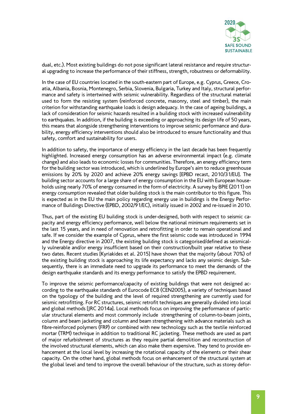

dual, etc.). Most existing buildings do not pose significant lateral resistance and require structural upgrading to increase the performance of their stiffness, strength, robustness or deformability.

In the case of EU countries located in the south-eastern part of Europe, e.g. Cyprus, Greece, Croatia, Albania, Bosnia, Montenegro, Serbia, Slovenia, Bulgaria, Turkey and Italy, structural performance and safety is intertwined with seismic vulnerability. Regardless of the structural material used to form the resisting system (reinforced concrete, masonry, steel and timber), the main criterion for withstanding earthquake loads is design adequacy. In the case of ageing buildings, a lack of consideration for seismic hazards resulted in a building stock with increased vulnerability to earthquakes. In addition, if the building is exceeding or approaching its design life of 50 years, this means that alongside strengthening interventions to improve seismic performance and durability, energy efficiency interventions should also be introduced to ensure functionality and thus safety, comfort and sustainability for users.

In addition to safety, the importance of energy efficiency in the last decade has been frequently highlighted. Increased energy consumption has an adverse environmental impact (e.g. climate change) and also leads to economic losses for communities. Therefore, an energy efficiency term for the building sector was introduced, which is underlined by Europe's aim to reduce greenhouse emissions by 20% by 2020 and achieve 20% energy savings [EPBD recast, 2010/31/EU]. The building sector accounts for a large share of energy consumption in the EU with European households using nearly 70% of energy consumed in the form of electricity. A survey by BPIE (2011) on energy consumption revealed that older building stock is the main contributor to this figure. This is expected as in the EU the main policy regarding energy use in buildings is the Energy Performance of Buildings Directive (EPBD, 2002/91/EC), initially issued in 2002 and re-issued in 2010.

Thus, part of the existing EU building stock is under-designed, both with respect to seismic capacity and energy efficiency performance, well below the national minimum requirements set in the last 15 years, and in need of renovation and retrofitting in order to remain operational and safe. If we consider the example of Cyprus, where the first seismic code was introduced in 1994 and the Energy directive in 2007, the existing building stock is categorised/defined as seismically vulnerable and/or energy insufficient based on their construction/built year relative to these two dates. Recent studies [Kyriakides et al. 2015] have shown that the majority (about 70%) of the existing building stock is approaching its life expectancy and lacks any seismic design. Subsequently, there is an immediate need to upgrade its performance to meet the demands of the design earthquake standards and its energy performance to satisfy the EPBD requirement.

To improve the seismic performance/capacity of existing buildings that were not designed according to the earthquake standards of Eurocode EC8 (CEN2005), a variety of techniques based on the typology of the building and the level of required strengthening are currently used for seismic retrofitting. For RC structures, seismic retrofit techniques are generally divided into local and global methods [JRC 2014a]. Local methods focus on improving the performance of particular structural elements and most commonly include strengthening of column-to-beam joints, column and beam jacketing and column and beam strengthening with advance materials such as fibre-reinforced polymers (FRP) or combined with new technology such as the textile reinforced mortar (TRM) technique in addition to traditional RC jacketing. These methods are used as part of major refurbishment of structures as they require partial demolition and reconstruction of the involved structural elements, which can also make them expensive. They tend to provide enhancement at the local level by increasing the rotational capacity of the elements or their shear capacity. On the other hand, global methods focus on enhancement of the structural system at the global level and tend to improve the overall behaviour of the structure, such as storey defor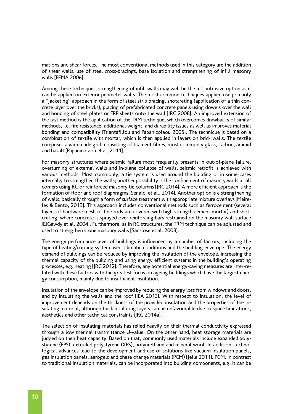mations and shear forces. The most conventional methods used in this category are the addition of shear walls, use of steel cross-bracings, base isolation and strengthening of infill masonry walls [FEMA 2006].

Among these techniques, strengthening of infill walls may well be the less intrusive option as it can be applied on exterior perimeter walls. The most common techniques applied use primarily a "jacketing" approach in the form of steel strip bracing, shotcreting (application of a thin concrete layer over the bricks), placing of prefabricated concrete panels using dowels over the wall and bonding of steel plates or FRP sheets onto the wall [JRC 2008]. An improved extension of the last method is the application of the TRM technique, which overcomes drawbacks of similar methods, i.e. fire resistance, additional weight, and durability issues as well as improves material bonding and compatibility [Triantafillou and Papanicolaou 2005]. The technique is based on a combination of textile with mortar, which is then applied in layers on brick walls. The textile comprises a yarn made grid, consisting of filament fibres, most commonly glass, carbon, aramid and basalt [Papanicolaou el al. 2011].

For masonry structures where seismic failure most frequently presents in out-of-plane failure, overturning of external walls and in-plane collapse of walls, seismic retrofit is achieved with various methods. Most commonly, a tie system is used around the building or in some cases internally to strengthen the walls; another possibility is the confinement of masonry walls at all corners using RC or reinforced masonry tie columns [JRC 2014]. A more efficient approach is the formation of floor and roof diaphragms [Senaldi et al., 2014]. Another option is e strengthening of walls, basically through a form of surface treatment with appropriate mixture overlays [Meireles & Bento, 2013]. This approach includes conventional methods such as ferrocement (several layers of hardware mesh of fine rods are covered with high-strength cement mortar) and shotcreting, where concrete is sprayed over reinforcing bars restrained on the masonry wall surface [ElGawdy et al. 2004]. Furthermore, as in RC structures, the TRM technique can be adjusted and used to strengthen stone masonry walls [San-Jose et al. 2008].

The energy performance level of buildings is influenced by a number of factors, including the type of heating/cooling system used, climatic conditions and the building envelope. The energy demand of buildings can be reduced by improving the insulation of the envelope, increasing the thermal capacity of the building and using energy efficient systems in the building's operating processes, e.g. heating [JRC 2012]. Therefore, any potential energy-saving measures are inter-related with these factors with the greatest focus on ageing buildings which have the largest energy consumption, mainly due to insufficient insulation.

Insulation of the envelope can be improved by reducing the energy loss from windows and doors, and by insulating the walls and the roof [IEA 2013]. With respect to insulation, the level of improvement depends on the thickness of the provided insulation and the properties of the insulating material, although thick insulating layers can be unfavourable due to space limitations, aesthetics and other technical constraints [JRC 2014a].

The selection of insulating materials has relied heavily on their thermal conductivity expressed through a low thermal transmittance U-value. On the other hand, heat storage materials are judged on their heat capacity. Based on that, commonly used materials include expanded polystyrene (EPS), extruded polystyrene (XPS), polyurethane and mineral wool. In addition, technological advances lead to the development and use of solutions like vacuum insulation panels, gas insulation panels, aerogels and phase change materials (PCM) [Jelle 2011]. PCM, in contrast to traditional insulation materials, can be incorporated into building components, e.g. it can be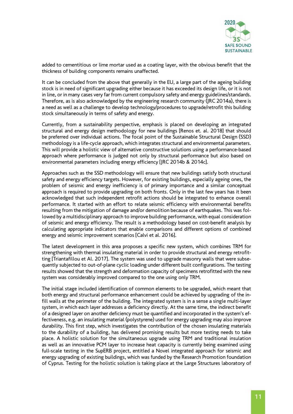

added to cementitious or lime mortar used as a coating layer, with the obvious benefit that the thickness of building components remains unaffected.

It can be concluded from the above that generally in the EU, a large part of the ageing building stock is in need of significant upgrading either because it has exceeded its design life, or it is not in line, or in many cases very far from current compulsory safety and energy guidelines/standards. Therefore, as is also acknowledged by the engineering research community (JRC 2014a), there is a need as well as a challenge to develop technology/procedures to upgrade/retrofit this building stock simultaneously in terms of safety and energy.

Currently, from a sustainability perspective, emphasis is placed on developing an integrated structural and energy design methodology for new buildings [Renos et. al. 2018] that should be preferred over individual actions. The focal point of the Sustainable Structural Design (SSD) methodology is a life-cycle approach, which integrates structural and environmental parameters. This will provide a holistic view of alternative constructive solutions using a performance-based approach where performance is judged not only by structural performance but also based on environmental parameters including energy efficiency [JRC 2014b & 2014c].

Approaches such as the SSD methodology will ensure that new buildings satisfy both structural safety and energy efficiency targets. However, for existing buildings, especially ageing ones, the problem of seismic and energy inefficiency is of primary importance and a similar conceptual approach is required to provide upgrading on both fronts. Only in the last few years has it been acknowledged that such independent retrofit actions should be integrated to enhance overall performance. It started with an effort to relate seismic efficiency with environmental benefits resulting from the mitigation of damage and/or demolition because of earthquakes. This was followed by a multidisciplinary approach to improve building performance, with equal consideration of seismic and energy efficiency. The result is a methodology based on cost-benefit analysis by calculating appropriate indicators that enable comparisons and different options of combined energy and seismic improvement scenarios [Calvi et al. 2016].

The latest development in this area proposes a specific new system, which combines TRM for strengthening with thermal insulating material in order to provide structural and energy retrofitting [Triantafillou et Al. 2017]. The system was used to upgrade masonry walls that were subsequently subjected to out-of-plane cyclic loading under different built configurations. The testing results showed that the strength and deformation capacity of specimens retrofitted with the new system was considerably improved compared to the one using only TRM.

The initial stage included identification of common elements to be upgraded, which meant that both energy and structural performance enhancement could be achieved by upgrading of the infill walls at the perimeter of the building. The integrated system is in a sense a single multi-layer system, in which each layer addresses a deficiency directly. At the same time, the indirect benefit of a designed layer on another deficiency must be quantified and incorporated in the system's effectiveness, e.g. an insulating material (polystyrene) used for energy upgrading may also improve durability. This first step, which investigates the contribution of the chosen insulating materials to the durability of a building, has delivered promising results but more testing needs to take place. A holistic solution for the simultaneous upgrade using TRM and traditional insulation as well as an innovative PCM layer to increase heat capacity is currently being examined using full-scale testing in the SupERB project, entitled a Novel integrated approach for seismic and energy upgrading of existing buildings, which was funded by the Research Promotion foundation of Cyprus. Testing for the holistic solution is taking place at the Large Structures laboratory of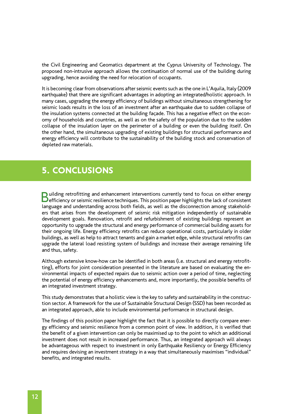the Civil Engineering and Geomatics department at the Cyprus University of Technology. The proposed non-intrusive approach allows the continuation of normal use of the building during upgrading, hence avoiding the need for relocation of occupants.

It is becoming clear from observations after seismic events such as the one in L'Aquila, Italy (2009 earthquake) that there are significant advantages in adopting an integrated/holistic approach. In many cases, upgrading the energy efficiency of buildings without simultaneous strengthening for seismic loads results in the loss of an investment after an earthquake due to sudden collapse of the insulation systems connected at the building façade. This has a negative effect on the economy of households and countries, as well as on the safety of the population due to the sudden collapse of the insulation layer on the perimeter of a building or even the building itself. On the other hand, the simultaneous upgrading of existing buildings for structural performance and energy efficiency will contribute to the sustainability of the building stock and conservation of depleted raw materials.

## 5. CONCLUSIONS

**Building retrofitting and enhancement interventions currently tend to focus on either energy**<br>**efficiency or seismic resilience techniques. This position paper highlights the lack of consistent** language and understanding across both fields, as well as the disconnection among stakeholders that arises from the development of seismic risk mitigation independently of sustainable development goals. Renovation, retrofit and refurbishment of existing buildings represent an opportunity to upgrade the structural and energy performance of commercial building assets for their ongoing life. Energy efficiency retrofits can reduce operational costs, particularly in older buildings, as well as help to attract tenants and gain a market edge, while structural retrofits can upgrade the lateral load resisting system of buildings and increase their average remaining life and thus, safety.

Although extensive know-how can be identified in both areas (i.e. structural and energy retrofitting), efforts for joint consideration presented in the literature are based on evaluating the environmental impacts of expected repairs due to seismic action over a period of time, neglecting the potential of energy efficiency enhancements and, more importantly, the possible benefits of an integrated investment strategy.

This study demonstrates that a holistic view is the key to safety and sustainability in the construction sector. A framework for the use of Sustainable Structural Design (SSD) has been recorded as an integrated approach, able to include environmental performance in structural design.

The findings of this position paper highlight the fact that it is possible to directly compare energy efficiency and seismic resilience from a common point of view. In addition, it is verified that the benefit of a given intervention can only be maximised up to the point to which an additional investment does not result in increased performance. Thus, an integrated approach will always be advantageous with respect to investment in only Earthquake Resiliency or Energy Efficiency and requires devising an investment strategy in a way that simultaneously maximises "individual" benefits, and integrated results.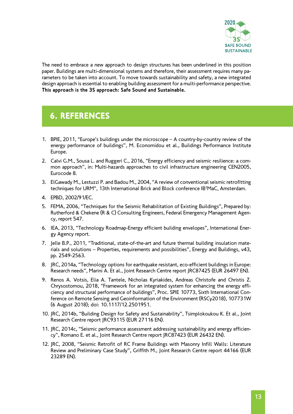

The need to embrace a new approach to design structures has been underlined in this position paper. Buildings are multi-dimensional systems and therefore, their assessment requires many parameters to be taken into account. To move towards sustainability and safety, a new integrated design approach is essential to enabling building assessment for a multi-performance perspective. **This approach is the 3S approach: Safe Sound and Sustainable.**

## 6. REFERENCES

- 1. BPIE, 2011, "Europe's buildings under the microscope A country-by-country review of the energy performance of buildings", M. Economidou et al., Buildings Performance Institute Europe.
- 2. Calvi G.M., Sousa L. and Ruggeri C., 2016, "Energy efficiency and seismic resilience: a common approach", in: Multi-hazards approaches to civil infrastructure engineering CEN2005, Eurocode 8.
- 3. ElGawady M., Lestuzzi P. and Badou M., 2004, "A review of conventional seismic retrofitting techniques for URM", 13th International Brick and Block conference IB2 MaC, Amsterdam.
- 4. EPBD, 2002/91/EC.
- 5. FEMA, 2006, "Techniques for the Seismic Rehabilitation of Existing Buildings", Prepared by: Rutherford & Chekene (R & C) Consulting Engineers, Federal Emergency Management Agency, report 547.
- 6. IEA, 2013, "Technology Roadmap-Energy efficient building envelopes", International Energy Agency report.
- 7. Jelle B.P., 2011, "Traditional, state-of-the-art and future thermal building insulation materials and solutions – Properties, requirements and possibilities", Energy and Buildings, v43, pp. 2549-2563.
- 8. JRC, 2014a, "Technology options for earthquake resistant, eco-efficient buildings in Europe: Research needs", Marini A. Et al., Joint Research Centre report JRC87425 (EUR 26497 EN).
- 9. Renos A. Votsis, Elia A. Tantele, Nicholas Kyriakides, Andreas Christofe and Christis Z. Chrysostomou, 2018, "Framework for an integrated system for enhancing the energy efficiency and structural performance of buildings", Proc. SPIE 10773, Sixth International Conference on Remote Sensing and Geoinformation of the Environment (RSCy2018), 107731W (6 August 2018); doi: 10.1117/12.2501951.
- 10. JRC, 2014b, "Building Design for Safety and Sustainability", Tsimplokoukou K. Et al., Joint Research Centre report JRC93115 (EUR 27116 EN).
- 11. JRC, 2014c, "Seismic performance assessment addressing sustainability and energy efficiency", Romano E. et al., Joint Research Centre report JRC87423 (EUR 26432 EN).
- 12. JRC, 2008, "Seismic Retrofit of RC Frame Buildings with Masonry Infill Walls: Literature Review and Preliminary Case Study", Griffith M., Joint Research Centre report 44166 (EUR 23289 EN).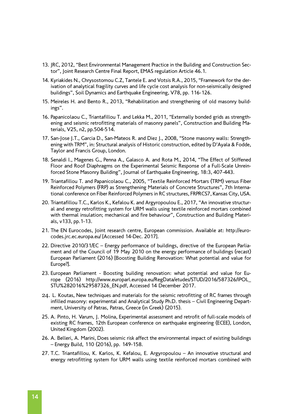- 13. JRC, 2012, "Best Environmental Management Practice in the Building and Construction Sector", Joint Research Centre Final Report, EMAS regulation Article 46.1.
- 14. Kyriakides N., Chrysostomou C.Z, Tantele E. and Votsis R.A., 2015, "Framework for the derivation of analytical fragility curves and life cycle cost analysis for non-seismically designed buildings", Soil Dynamics and Earthquake Engineering, V78, pp. 116-126.
- 15. Meireles H. and Bento R., 2013, "Rehabilitation and strengthening of old masonry buildings".
- 16. Papanicolaou C., Triantafillou T. and Lekka M., 2011, "Externally bonded grids as strengthening and seismic retrofitting materials of masonry panels", Construction and Building Materials, V25, n2, pp.504-514.
- 17. San-Jose J.T., Garcia D., San-Mateos R. and Diez J., 2008, "Stone masonry walls: Strengthening with TRM", in: Structural analysis of Historic construction, edited by D'Ayala & Fodde, Taylor and Francis Group, London.
- 18. Senaldi I., Magenes G., Penna A., Galasco A. and Rota M., 2014, "The Effect of Stiffened Floor and Roof Diaphragms on the Experimental Seismic Response of a Full-Scale Unreinforced Stone Masonry Building", Journal of Earthquake Engineering, 18:3, 407-443.
- 19. Triantafillou T. and Papanicolaou C., 2005, "Textile Reinforced Mortars (TRM) versus Fiber Reinforced Polymers (FRP) as Strengthening Materials of Concrete Structures", 7th International conference on Fiber Reinforced Polymers in RC structures, FRPRCS7, Kansas City, USA.
- 20. Triantafillou T.C., Karlos K., Kefalou K. and Argyropoulou E., 2017, "An innovative structural and energy retrofitting system for URM walls using textile reinforced mortars combined with thermal insulation; mechanical and fire behaviour", Construction and Building Materials, v133, pp.1-13.
- 21. The EN Eurocodes, Joint research centre, European commission. Available at: http://eurocodes.jrc.ec.europa.eu/ [Accessed 14-Dec. 2017].
- 22. Directive 2010/31/EC Energy performance of buildings, directive of the European Parliament and of the Council of 19 May 2010 on the energy performance of buildings (recast) European Parliament (2016) [Boosting Building Renovation: What potential and value for Europe?].
- 23. European Parliament Boosting building renovation: what potential and value for Europe (2016) http://www.europarl.europa.eu/RegData/etudes/STUD/2016/587326/IPOL\_ STU%282016%29587326\_EN.pdf, Accessed 14 December 2017.
- 24. L. Koutas, New techniques and materials for the seismic retrofitting of RC frames through infilled masonry: experimental and Analytical Study Ph.D. thesis – Civil Engineering Department, University of Patras, Patras, Greece (in Greek) (2015).
- 25. A. Pinto, H. Varum, J. Molina, Experimental assessment and retrofit of full-scale models of existing RC frames, 12th European conference on earthquake engineering (ECEE), London, United Kingdom (2002).
- 26. A. Belleri, A. Marini, Does seismic risk affect the environmental impact of existing buildings – Energy Build, 110 (2016), pp. 149-158.
- 27. T.C. Triantafillou, K. Karlos, K. Kefalou, E. Argyropoulou An innovative structural and energy retrofitting system for URM walls using textile reinforced mortars combined with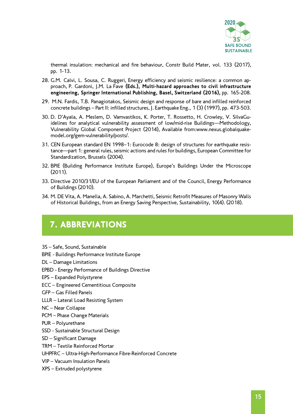

thermal insulation: mechanical and fire behaviour, Constr Build Mater, vol. 133 (2017), pp. 1-13.

- 28. G.M. Calvi, L. Sousa, C. Ruggeri, Energy efficiency and seismic resilience: a common approach, P. Gardoni, J.M. La Fave **(Eds.), Multi-hazard approaches to civil infrastructure engineering, Springer International Publishing, Basel, Switzerland (2016),** pp. 165-208.
- 29. M.N. Fardis, T.B. Panagiotakos, Seismic design and response of bare and infilled reinforced concrete buildings – Part II: infilled structures, J. Earthquake Eng., 1 (3) (1997), pp. 473-503.
- 30. D. D'Ayala, A. Meslem, D. Vamvastikos, K. Porter, T. Rossetto, H. Crowley, V. SilvaGuidelines for analytical vulnerability assessment of low/mid-rise Buildings—Methodology, Vulnerability Global Component Project (2014), Available from[:www.nexus.globalquake](http://www.nexus.globalquakemodel.org/gem-vulnerability/posts/)[model.org/gem-vulnerability/posts/](http://www.nexus.globalquakemodel.org/gem-vulnerability/posts/).
- 31. CEN European standard EN 1998–1: Eurocode 8: design of structures for earthquake resistance—part 1: general rules, seismic actions and rules for buildings, European Committee for Standardization, Brussels (2004).
- 32. BPIE (Building Performance Institute Europe), Europe's Buildings Under the Microscope (2011).
- 33. Directive 2010/31/EU of the European Parliament and of the Council, Energy Performance of Buildings (2010).
- 34. M. DE Vita, A. Manella, A. Sabino, A. Marchetti, Seismic Retrofit Measures of Masonry Walls of Historical Buildings, from an Energy Saving Perspective, Sustainability, 10(4). (2018).

## 7. ABBREVIATIONS

- 3S Safe, Sound, Sustainable
- BPIE Buildings Performance Institute Europe
- DL Damage Limitations
- EPBD Energy Performance of Buildings Directive
- EPS Expanded Polystyrene
- ECC Engineered Cementitious Composite
- GFP Gas Filled Panels
- LLLR Lateral Load Resisting System
- NC Near Collapse
- PCM Phase Change Materials
- PUR Polyurethane
- SSD Sustainable Structural Design
- SD Significant Damage
- TRM Textile Reinforced Mortar
- UHPFRC Ultra-High-Performance Fibre-Reinforced Concrete
- VIP Vacuum Insulation Panels
- XPS Extruded polystyrene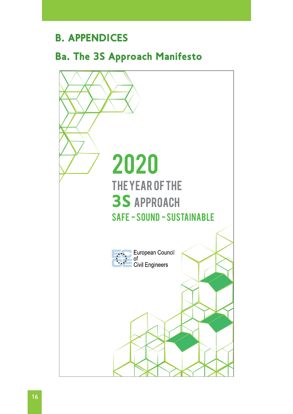## B. APPENDICES

## Ba. The 3S Approach Manifesto

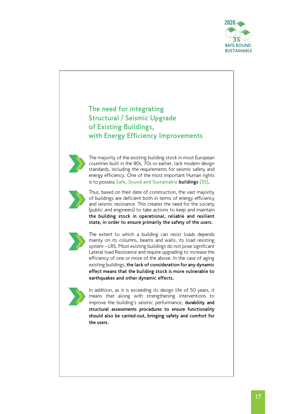

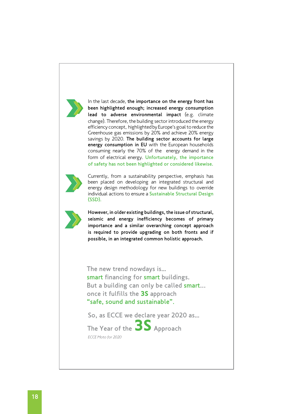

In the last decade, the importance on the energy front has been highlighted enough; increased energy consumption lead to adverse environmental impact (e.g. climate change). Therefore, the building sector introduced the energy efficiency concept, highlighted by Europe's goal to reduce the Greenhouse gas emissions by 20% and achieve 20% energy savings by 2020. The building sector accounts for large energy consumption in EU with the European households consuming nearly the 70% of the energy demand in the form of electrical energy. Unfortunately, the importance of safety has not been highlighted or considered likewise.



Currently, from a sustainability perspective, emphasis has been placed on developing an integrated structural and energy design methodology for new buildings to override individual actions to ensure a Sustainable Structural Design (SSD).



However, in older existing buildings, the issue of structural, seismic and energy inefficiency becomes of primary importance and a similar overarching concept approach is required to provide upgrading on both fronts and if possible, in an integrated common holistic approach.

The new trend nowdays is…

smart financing for smart buildings. But a building can only be called smart... once it fulfills the 3S approach "safe, sound and sustainable".

So, as ECCE we declare year 2020 as…

*ECCE Moto for 2020* The Year of the **3S** Approach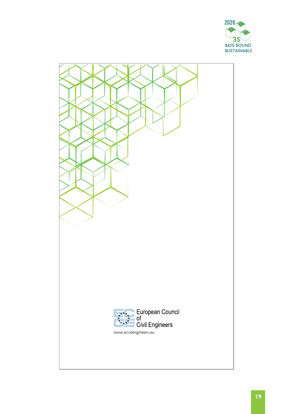

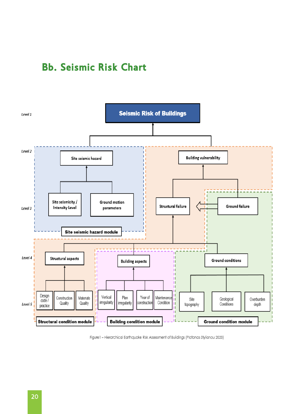## Bb. Seismic Risk Chart



Figure 1 - Hierarchical Earthquake Risk Assessment of Buildings (Platonas Stylianou 2020)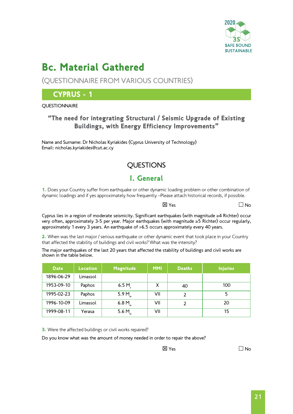

## Bc. Material Gathered

(QUESTIONNAIRE FROM VARIOUS COUNTRIES)

### CYPRUS - 1

#### **OUESTIONNAIRE**

#### "The need for integrating Structural / Seismic Upgrade of Existing Buildings, with Energy Efficiency Improvements"

Name and Surname: Dr Nicholas Kyriakides (Cyprus University of Technology) Email: nicholas.kyriakides@cut.ac.cy

## **OUESTIONS**

### I. General

1. Does your Country suffer from earthquake or other dynamic loading problem or other combination of dynamic loadings and if yes approximately how frequently –Please attach historical records, if possible.

 $\boxtimes$  Yes  $\Box$  No

Cyprus lies in a region of moderate seismicity. Significant earthquakes (with magnitude ≥4 Richter) occur very often, approximately 3-5 per year. Major earthquakes (with magnitude ≥5 Richter) occur regularly, approximately 1 every 3 years. An earthquake of »6.5 occurs approximately every 40 years.

2. When was the last major / serious earthquake or other dynamic event that took place in your Country that affected the stability of buildings and civil works? What was the intensity?

The major earthquakes of the last 20 years that affected the stability of buildings and civil works are shown in the table below.

| <b>Date</b> | Location | Magnitude          | <b>MMI</b> | <b>Deaths</b> | <b>Injuries</b> |
|-------------|----------|--------------------|------------|---------------|-----------------|
| 1896-06-29  | Limassol |                    |            |               |                 |
| 1953-09-10  | Paphos   | 6.5 M              | X          | 40            | 100             |
| 1995-02-23  | Paphos   | 5.9 $M_{\text{w}}$ | VII        | 2             |                 |
| 1996-10-09  | Limassol | 6.8 $M_{\text{w}}$ | VII        | 2             | 20              |
| 1999-08-11  | Yerasa   | 5.6 $M_{\text{w}}$ | VII        |               | 15              |

**3.** Were the affected buildings or civil works repaired?

Do you know what was the amount of money needed in order to repair the above?

 $\overline{\mathsf{X}}$  Yes  $\overline{\mathsf{N}}$  Yes  $\overline{\mathsf{N}}$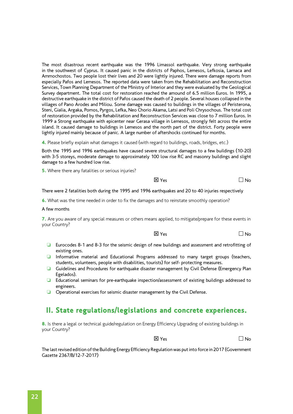The most disastrous recent earthquake was the 1996 Limassol earthquake. Very strong earthquake in the southwest of Cyprus. It caused panic in the districts of Paphos, Lemesos, Lefkosia, Larnaca and Ammochostos. Two people lost their lives and 20 were lightly injured. There were damage reports from especially Pafos and Lemesos. The reported data were taken from the Rehabilitation and Reconstruction Services, Town Planning Department of the Ministry of Interior and they were evaluated by the Geological Survey department. The total cost for restoration reached the amound of 6.5 million Euros. In 1995, a destructive earthquake in the district of Pafos caused the death of 2 people. Several houses collapsed in the villages of Pano Arodes and Miliou. Some damage was caused to buildings in the villages of Peristerona, Steni, Gialia, Argaka, Pomos, Pyrgos, Lefka, Neo Chorio Akama, Latsi and Poli Chrysochous. The total cost of restoration provided by the Rehabilitation and Reconstruction Services was close to 7 million Euros. In 1999 a Strong earthquake with epicenter near Gerasa village in Lemesos, strongly felt across the entire island. It caused damage to buildings in Lemesos and the north part of the district. Forty people were lightly injured mainly because of panic. A large number of aftershocks continued for months.

4. Please briefly explain what damages it caused (with regard to buildings, roads, bridges, etc.)

Both the 1995 and 1996 earthquakes have caused severe structural damages to a few buildings (10-20) with 3-5 storeys, moderate damage to approximately 100 low rise RC and masonry buildings and slight damage to a few hundred low rise.

**5.** Where there any fatalities or serious injuries?

 $\overline{X}$  Yes  $\overline{X}$  Yes  $\overline{X}$ 

#### There were 2 fatalities both during the 1995 and 1996 earthquakes and 20 to 40 injuries respectively

6. What was the time needed in order to fix the damages and to reinstate smoothly operation?

#### A few months

7. Are you aware of any special measures or others means applied, to mitigate/prepare for these events in your Country?

 $\boxtimes$  Yes  $\Box$  No

- ❏ Eurocodes 8-1 and 8-3 for the seismic design of new buildings and assessment and retrofitting of existing ones.
- ❏ Informative material and Educational Programs addressed to many target groups (teachers, students, volunteers, people with disabilities, tourists) for self- protecting measures.
- ❏ Guidelines and Procedures for earthquake disaster management by Civil Defense (Emergency Plan Egelados).
- ❏ Educational seminars for pre-earthquake inspection/assessment of existing buildings addressed to engineers.
- ❏ Operational exercises for seismic disaster management by the Civil Defense.

#### II. State regulations/legislations and concrete experiences.

8. Is there a legal or technical guide/regulation on Energy Efficiency Upgrading of existing buildings in your Country?

 $\overline{X}$  Yes  $\overline{X}$  Yes  $\overline{X}$ 

The last revised edition of the Building Energy Efficiency Regulation was put into force in 2017 (Government Gazette 2367/B/12-7-2017)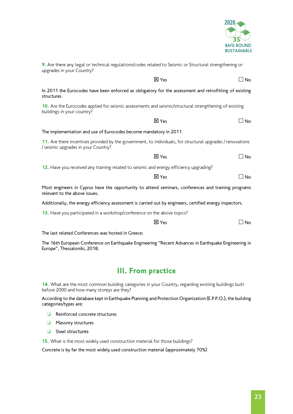

| upgrades in your Country?                                                                                                                         |              |             |
|---------------------------------------------------------------------------------------------------------------------------------------------------|--------------|-------------|
|                                                                                                                                                   | <b>⊠ Yes</b> | ⊿ No        |
| In 2011 the Eurocodes have been enforced as obligatory for the assessment and retrofitting of existing<br>structures                              |              |             |
| 10. Are the Eurocodes applied for seismic assessments and seismic/structural strengthening of existing<br>buildings in your country?              |              |             |
|                                                                                                                                                   | 区 Yes        | $\Box$ No   |
| The implementation and use of Eurocodes become mandatory in 2011                                                                                  |              |             |
| 11. Are there incentives provided by the government, to individuals, for structural upgrades / renovations<br>/ seismic upgrades in your Country? |              |             |
|                                                                                                                                                   | <b>区 Yes</b> | $\sqcup$ No |
| 12. Have you received any training related to seismic and energy efficiency upgrading?                                                            |              |             |
|                                                                                                                                                   | <b>区</b> Yes | $\Box$ No   |
| Most engineers in Cyprus have the opportunity to attend seminars, conferences and training programs<br>relevant to the above issues.              |              |             |
| Additionally, the energy efficiency assessment is carried out by engineers, certified energy inspectors.                                          |              |             |
| <b>13.</b> Have you participated in a workshop/conference on the above topics?                                                                    |              |             |

9. Are there any legal or technical regulations/codes related to Seismic or Structural strengthening or

 $\boxtimes$  Yes  $\Box$  No

The last related Conferences was hosted in Greece:

The 16th European Conference on Earthquake Engineering "Recent Advances in Earthquake Engineering in Europe", Thessaloniki, 2018.

#### III. From practice

14. What are the most common building categories in your Country, regarding existing buildings built before 2000 and how many storeys are they?

According to the database kept in Earthquake Planning and Protection Organization (E.P.P.O.), the building categories/types are:

- ❏ Reinforced concrete structures
- ❏ Masonry structures
- ❏ Steel structures

15. What is the most widely used construction material for those buildings?

Concrete is by far the most widely used construction material (approximately 70%)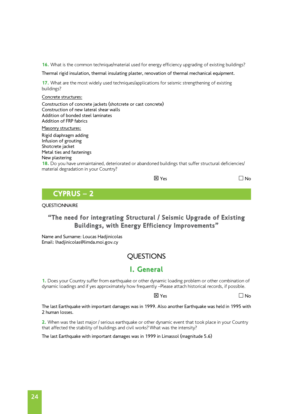16. What is the common technique/material used for energy efficiency upgrading of existing buildings?

Thermal rigid insulation, thermal insulating plaster, renovation of thermal mechanical equipment.

17. What are the most widely used techniques/applications for seismic strengthening of existing buildings?

#### Concrete structures:

Construction of concrete jackets (shotcrete or cast concrete) Construction of new lateral shear walls Addition of bonded steel laminates Addition of FRP fabrics

Masonry structures:

Rigid diaphragm adding Infusion of grouting Shotcrete jacket Metal ties and fastenings New plastering

18. Do you have unmaintained, deteriorated or abandoned buildings that suffer structural deficiencies/ material degradation in your Country?

| $\boxtimes$ Yes | $\Box$ No |
|-----------------|-----------|
|-----------------|-----------|

### CYPRUS – 2

#### **QUESTIONNAIRE**

#### "The need for integrating Structural / Seismic Upgrade of Existing Buildings, with Energy Efficiency Improvements"

Name and Surname: Loucas Hadjinicolas Email: [lhadjinicolas@limda.moi.gov.cy](mailto:lhadjinicolas@limda.moi.gov.cy)

#### **OUESTIONS**

#### I. General

1. Does your Country suffer from earthquake or other dynamic loading problem or other combination of dynamic loadings and if yes approximately how frequently –Please attach historical records, if possible.

 $\boxtimes$  Yes  $\Box$  No

The last Earthquake with important damages was in 1999. Also another Earthquake was held in 1995 with 2 human losses.

2. When was the last major / serious earthquake or other dynamic event that took place in your Country that affected the stability of buildings and civil works? What was the intensity?

The last Earthquake with important damages was in 1999 in Limassol (magnitude 5.6)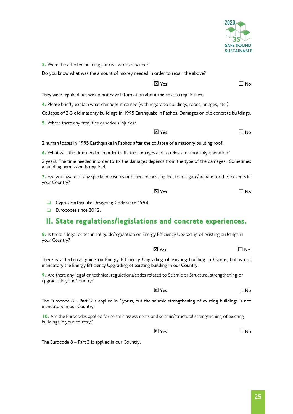

2020

| <b>SAFE SOUND</b><br><b>SUSTAINABLE</b>                                                                                                                                                                     |
|-------------------------------------------------------------------------------------------------------------------------------------------------------------------------------------------------------------|
| 3. Were the affected buildings or civil works repaired?                                                                                                                                                     |
| Do you know what was the amount of money needed in order to repair the above?                                                                                                                               |
| <b>区</b> Yes<br>$\Box$ No                                                                                                                                                                                   |
| They were repaired but we do not have information about the cost to repair them.                                                                                                                            |
| 4. Please briefly explain what damages it caused (with regard to buildings, roads, bridges, etc.)<br>Collapse of 2-3 old masonry buildings in 1995 Earthquake in Paphos. Damages on old concrete buildings. |
| 5. Where there any fatalities or serious injuries?                                                                                                                                                          |
| $\boxtimes$ Yes<br>∃ No                                                                                                                                                                                     |
| 2 human losses in 1995 Earthquake in Paphos after the collapse of a masonry building roof.                                                                                                                  |
| 6. What was the time needed in order to fix the damages and to reinstate smoothly operation?                                                                                                                |
| 2 years. The time needed in order to fix the damages depends from the type of the damages. Sometimes<br>a building permission is required.                                                                  |
| 7. Are you aware of any special measures or others means applied, to mitigate/prepare for these events in<br>your Country?                                                                                  |
| <b>区 Yes</b><br>$\Box$ No                                                                                                                                                                                   |
| Cyprus Earthquake Designing Code since 1994.<br>Eurocodes since 2012.<br>u                                                                                                                                  |
| II. State regulations/legislations and concrete experiences.                                                                                                                                                |
| 8. Is there a legal or technical guide/regulation on Energy Efficiency Upgrading of existing buildings in<br>your Country?                                                                                  |
| <b>区 Yes</b><br>⊿ No                                                                                                                                                                                        |
| There is a technical guide on Energy Efficiency Upgrading of existing building in Cyprus, but is not<br>mandatory the Energy Efficiency Upgrading of existing building in our Country.                      |
| 9. Are there any legal or technical regulations/codes related to Seismic or Structural strengthening or<br>upgrades in your Country?                                                                        |
| <b>区</b> Yes<br>$\Box$ No                                                                                                                                                                                   |
| The Eurocode $8$ – Part 3 is applied in Cyprus, but the seismic strengthening of existing buildings is not<br>mandatory in our Country.                                                                     |

10. Are the Eurocodes applied for seismic assessments and seismic/structural strengthening of existing buildings in your country?

 $\boxtimes$  Yes  $\Box$  No

The Eurocode 8 – Part 3 is applied in our Country.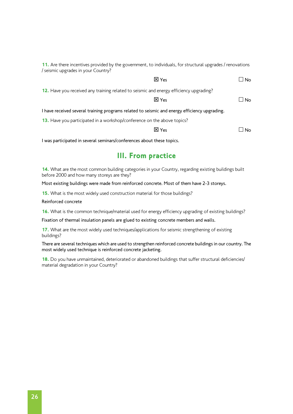11. Are there incentives provided by the government, to individuals, for structural upgrades / renovations / seismic upgrades in your Country?

 $\boxtimes$  Yes  $\Box$  No

12. Have you received any training related to seismic and energy efficiency upgrading?

 $\overline{X}$  Yes  $\overline{X}$  Yes  $\overline{X}$ 

I have received several training programs related to seismic and energy efficiency upgrading.

13. Have you participated in a workshop/conference on the above topics?

 $\boxtimes$  Yes  $\Box$  No

I was participated in several seminars/conferences about these topics.

#### III. From practice

14. What are the most common building categories in your Country, regarding existing buildings built before 2000 and how many storeys are they?

Most existing buildings were made from reinforced concrete. Most of them have 2-3 storeys.

15. What is the most widely used construction material for those buildings?

Reinforced concrete

16. What is the common technique/material used for energy efficiency upgrading of existing buildings?

Fixation of thermal insulation panels are glued to existing concrete members and walls.

17. What are the most widely used techniques/applications for seismic strengthening of existing buildings?

There are several techniques which are used to strengthen reinforced concrete buildings in our country. The most widely used technique is reinforced concrete jacketing.

18. Do you have unmaintained, deteriorated or abandoned buildings that suffer structural deficiencies/ material degradation in your Country?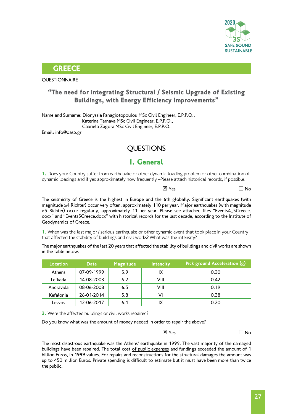

#### **GREECE**

**QUESTIONNAIRE** 

#### "The need for integrating Structural / Seismic Upgrade of Existing Buildings, with Energy Efficiency Improvements"

Name and Surname: Dionyssia Panagiotopoulou MSc Civil Engineer, E.P.P.O., Katerina Tarnava MSc Civil Engineer, E.P.P.O., Gabriela Zagora MSc Civil Engineer, E.P.P.O. Email: info@oasp.gr

### **OUESTIONS**

#### I. General

1. Does your Country suffer from earthquake or other dynamic loading problem or other combination of dynamic loadings and if yes approximately how frequently –Please attach historical records, if possible.

 $\boxtimes$  Yes  $\Box$  No

The seismicity of Greece is the highest in Europe and the 6th globally. Significant earthquakes (with magnitude ≥4 Richter) occur very often, approximately 110 per year. Major earthquakes (with magnitude ≥5 Richter) occur regularly, approximately 11 per year. Please see attached files "Events4\_5Greece. docx" and "Events5Greece.docx" with historical records for the last decade, according to the Institute of Geodynamics of Greece.

1. When was the last major / serious earthquake or other dynamic event that took place in your Country that affected the stability of buildings and civil works? What was the intensity?

The major earthquakes of the last 20 years that affected the stability of buildings and civil works are shown in the table below.

| Location  | <b>Date</b> | Magnitude | Intencity | Pick ground Acceleration (g) |
|-----------|-------------|-----------|-----------|------------------------------|
| Athens    | 07-09-1999  | 5.9       | IX        | 0.30                         |
| Lefkada   | 14-08-2003  | 6.2       | VIII      | 0.42                         |
| Andravida | 08-06-2008  | 6.5       | VIII      | 0.19                         |
| Kefalonia | 26-01-2014  | 5.8       | VI        | 0.38                         |
| Lesvos    | 12-06-2017  | 6.1       | IX        | 0.20                         |

**3.** Were the affected buildings or civil works repaired?

Do you know what was the amount of money needed in order to repair the above?

 $\overline{\mathsf{X}}$  Yes  $\overline{\mathsf{N}}$  Yes

The most disastrous earthquake was the Athens' earthquake in 1999. The vast majority of the damaged buildings have been repaired. The total cost of public expenses and fundings exceeded the amount of 1 billion Euros, in 1999 values. For repairs and reconstructions for the structural damages the amount was up to 450 million Euros. Private spending is difficult to estimate but it must have been more than twice the public.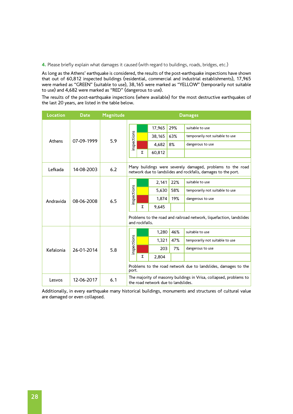4. Please briefly explain what damages it caused (with regard to buildings, roads, bridges, etc.)

As long as the Athens' earthquake is considered, the results of the post-earthquake inspections have shown that out of 60,812 inspected buildings (residential, commercial and industrial establishments), 17,965 were marked as "GREEN" (suitable to use), 38,165 were marked as "YELLOW" (temporarily not suitable to use) and 4,682 were marked as "RED" (dangerous to use).

The results of the post-earthquake inspections (where available) for the most destructive earthquakes of the last 20 years, are listed in the table below.

| Location  | <b>Date</b> | Magnitude |                                                                                                           | <b>Damages</b>                                                                                                              |             |     |                                                                     |       |                                 |  |  |  |       |     |                                 |  |  |  |   |       |
|-----------|-------------|-----------|-----------------------------------------------------------------------------------------------------------|-----------------------------------------------------------------------------------------------------------------------------|-------------|-----|---------------------------------------------------------------------|-------|---------------------------------|--|--|--|-------|-----|---------------------------------|--|--|--|---|-------|
|           |             |           |                                                                                                           |                                                                                                                             |             |     |                                                                     |       |                                 |  |  |  |       |     |                                 |  |  |  |   |       |
|           |             |           |                                                                                                           |                                                                                                                             | 17,965      | 29% | suitable to use                                                     |       |                                 |  |  |  |       |     |                                 |  |  |  |   |       |
|           |             |           |                                                                                                           |                                                                                                                             | 38,165      | 63% | temporarily not suitable to use                                     |       |                                 |  |  |  |       |     |                                 |  |  |  |   |       |
| Athens    | 07-09-1999  | 5.9       | inspections                                                                                               |                                                                                                                             | 4.682       | 8%  | dangerous to use                                                    |       |                                 |  |  |  |       |     |                                 |  |  |  |   |       |
|           |             |           |                                                                                                           | Σ                                                                                                                           | 60,812      |     |                                                                     |       |                                 |  |  |  |       |     |                                 |  |  |  |   |       |
|           |             |           |                                                                                                           |                                                                                                                             |             |     |                                                                     |       |                                 |  |  |  |       |     |                                 |  |  |  |   |       |
| Lefkada   | 14-08-2003  | 6.2       |                                                                                                           | Many buildings were severely damaged, problems to the road<br>network due to landslides and rockfalls, damages to the port. |             |     |                                                                     |       |                                 |  |  |  |       |     |                                 |  |  |  |   |       |
|           |             | 6.5       |                                                                                                           |                                                                                                                             | 2,141       | 22% | suitable to use                                                     |       |                                 |  |  |  |       |     |                                 |  |  |  |   |       |
|           | 08-06-2008  |           |                                                                                                           |                                                                                                                             | inspections |     | 5,630                                                               | 58%   | temporarily not suitable to use |  |  |  |       |     |                                 |  |  |  |   |       |
| Andravida |             |           |                                                                                                           |                                                                                                                             |             |     | 1,874                                                               | 19%   | dangerous to use                |  |  |  |       |     |                                 |  |  |  |   |       |
|           |             |           |                                                                                                           |                                                                                                                             |             |     |                                                                     |       |                                 |  |  |  |       |     |                                 |  |  |  | Σ | 9,645 |
|           |             |           |                                                                                                           | and rockfalls.                                                                                                              |             |     | Problems to the road and railroad network, liquefaction, landslides |       |                                 |  |  |  |       |     |                                 |  |  |  |   |       |
|           |             |           |                                                                                                           |                                                                                                                             | 1,280       | 46% | suitable to use                                                     |       |                                 |  |  |  |       |     |                                 |  |  |  |   |       |
|           |             | 5.8       |                                                                                                           |                                                                                                                             |             |     |                                                                     |       |                                 |  |  |  | 1,321 | 47% | temporarily not suitable to use |  |  |  |   |       |
| Kefalonia | 26-01-2014  |           | inspections                                                                                               |                                                                                                                             | 203         | 7%  | dangerous to use                                                    |       |                                 |  |  |  |       |     |                                 |  |  |  |   |       |
|           |             |           |                                                                                                           |                                                                                                                             |             |     | Σ                                                                   | 2,804 |                                 |  |  |  |       |     |                                 |  |  |  |   |       |
|           |             |           | port.                                                                                                     |                                                                                                                             |             |     | Problems to the road network due to landslides, damages to the      |       |                                 |  |  |  |       |     |                                 |  |  |  |   |       |
| Lesvos    | 12-06-2017  | 6.1       | The majority of masonry buildings in Vrisa, collapsed, problems to<br>the road network due to landslides. |                                                                                                                             |             |     |                                                                     |       |                                 |  |  |  |       |     |                                 |  |  |  |   |       |

Additionally, in every earthquake many historical buildings, monuments and structures of cultural value are damaged or even collapsed.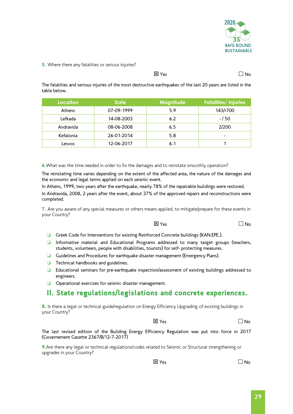

#### **5.** Where there any fatalities or serious injuries?

 $\overline{X}$  Yes  $\overline{X}$  Yes  $\overline{X}$ 

The fatalities and serious injuries of the most destructive earthquakes of the last 20 years are listed in the table below.

| Location  | <b>Date</b> | <b>Magnitude</b> | <b>Fatalities/Injuries</b> |
|-----------|-------------|------------------|----------------------------|
| Athens    | 07-09-1999  | 5.9              | 143/>700                   |
| Lefkada   | 14-08-2003  | 6.2              | - / 50                     |
| Andravida | 08-06-2008  | 6.5              | 2/200                      |
| Kefalonia | 26-01-2014  | 5.8              | -                          |
| Lesvos    | 12-06-2017  | 6.1              |                            |

6. What was the time needed in order to fix the damages and to reinstate smoothly operation?

The reinstating time varies depending on the extent of the affected area, the nature of the damages and the economic and legal terms applied on each seismic event.

In Athens, 1999, two years after the earthquake, nearly 78% of the repairable buildings were restored.

In Andravida, 2008, 2 years after the event, about 37% of the approved repairs and reconstructions were completed.

7. Are you aware of any special measures or others means applied, to mitigate/prepare for these events in your Country?

 $\overline{X}$  Yes  $\overline{X}$  Yes  $\overline{X}$ 

- ❏ Greek Code for Interventions for existing Reinforced Concrete buildings (KAN.EPE.).
- ❏ Informative material and Educational Programs addressed to many target groups (teachers, students, volunteers, people with disabilities, tourists) for self- protecting measures.
- ❏ Guidelines and Procedures for earthquake disaster management (Emergency Plans).
- ❏ Technical handbooks and guidelines.
- ❏ Educational seminars for pre-earthquake inspection/assessment of existing buildings addressed to engineers.
- ❏ Operational exercises for seismic disaster management.

#### II. State regulations/legislations and concrete experiences.

8. Is there a legal or technical guide/regulation on Energy Efficiency Upgrading of existing buildings in your Country?

 $\boxtimes$  Yes  $\Box$  No

The last revised edition of the Building Energy Efficiency Regulation was put into force in 2017 (Governement Gazette 2367/B/12-7-2017)

9. Are there any legal or technical regulations/codes related to Seismic or Structural strengthening or upgrades in your Country?

 $\boxtimes$  Yes  $\Box$  No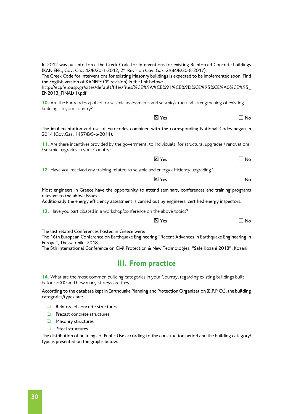In 2012 was put into force the Greek Code for Interventions for existing Reinforced Concrete buildings (KAN.EPE., Gov. Gaz. 42/B/20-1-2012, 2nd Revision Gov. Gaz. 2984/B/30-8-2017).

The Greek Code for Interventions for existing Masonry buildings is expected to be implemented soon. Find the English version of KANEPE (1<sup>st</sup> revision) in the link below:

http://ecpfe.oasp.gr/sites/default/files/files/%CE%9A%CE%91%CE%9D%CE%95%CE%A0%CE%95\_ EN2013\_FINAL(1).pdf

10. Are the Eurocodes applied for seismic assessments and seismic/structural strengthening of existing buildings in your country?

 $\overline{X}$  Yes  $\overline{X}$  Yes  $\overline{X}$ 

The implementation and use of Eurocodes combined with the corresponding National Codes began in 2014 (Gov.Gaz. 1457/B/5-6-2014).

11. Are there incentives provided by the government, to individuals, for structural upgrades / renovations / seismic upgrades in your Country?

 $\boxtimes$  Yes  $\Box$  No

12. Have you received any training related to seismic and energy efficiency upgrading?

 $\boxtimes$  Yes  $\Box$  No

Most engineers in Greece have the opportunity to attend seminars, conferences and training programs relevant to the above issues.

Additionally the energy efficiency assessment is carried out by engineers, certified energy inspectors.

13. Have you participated in a workshop/conference on the above topics?

 $\boxtimes$  Yes  $\Box$  No

The last related Conferences hosted in Greece were:

The 16th European Conference on Earthquake Engineering "Recent Advances in Earthquake Engineering in Europe", Thessaloniki, 2018.

The 5th International Conference on Civil Protection & New Technologies, "Safe Kozani 2018", Kozani.

#### III. From practice

14. What are the most common building categories in your Country, regarding existing buildings built before 2000 and how many storeys are they?

According to the database kept in Earthquake Planning and Protection Organization (E.P.P.O.), the building categories/types are:

- ❏ Reinforced concrete structures
- ❏ Precast concrete structures
- ❏ Masonry structures
- ❏ Steel structures

The distribution of buildings of Public Use according to the construction period and the building category/ type is presented on the graphs below.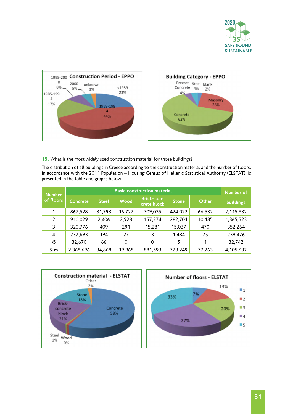



15. What is the most widely used construction material for those buildings?

The distribution of all buildings in Greece according to the construction material and the number of floors, in accordance with the 2011 Population – Housing Census of Hellenic Statistical Authority (ELSTAT), is presented in the table and graphs below.

| <b>Number</b>  |                 | <b>Basic construction material</b> |             |                           |              |        |           |
|----------------|-----------------|------------------------------------|-------------|---------------------------|--------------|--------|-----------|
| of floors      | <b>Concrete</b> | <b>Steel</b>                       | <b>Wood</b> | Brick-con-<br>crete block | <b>Stone</b> | Other  | buildings |
| 1              | 867,528         | 31,793                             | 16,722      | 709,035                   | 424,022      | 66,532 | 2,115,632 |
| $\overline{2}$ | 910,029         | 2,406                              | 2,928       | 157,274                   | 282,701      | 10,185 | 1,365,523 |
| 3              | 320,776         | 409                                | 291         | 15,281                    | 15,037       | 470    | 352,264   |
| 4              | 237,693         | 194                                | 27          | 3                         | 1,484        | 75     | 239,476   |
| $5^{\circ}$    | 32,670          | 66                                 | $\Omega$    | $\Omega$                  | 5            |        | 32,742    |
| Sum            | 2,368,696       | 34,868                             | 19,968      | 881,593                   | 723,249      | 77,263 | 4,105,637 |

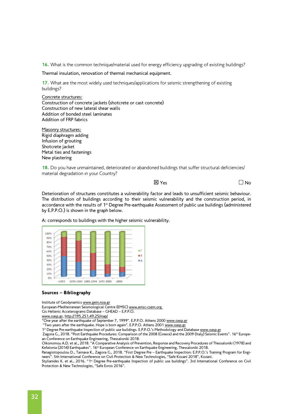16. What is the common technique/material used for energy efficiency upgrading of existing buildings?

Thermal insulation, renovation of thermal mechanical equipment.

17. What are the most widely used techniques/applications for seismic strengthening of existing buildings?

Concrete structures: Construction of concrete jackets (shotcrete or cast concrete) Construction of new lateral shear walls Addition of bonded steel laminates Addition of FRP fabrics

Masonry structures: Rigid diaphragm adding Infusion of grouting Shotcrete jacket Metal ties and fastenings New plastering

18. Do you have unmaintained, deteriorated or abandoned buildings that suffer structural deficiencies/ material degradation in your Country?

 $\overline{\mathsf{x}}$  Yes  $\overline{\mathsf{x}}$  Yes  $\overline{\mathsf{x}}$ 

Deterioration of structures constitutes a vulnerability factor and leads to unsufficient seismic behaviour. The distribution of buildings according to their seismic vulnerability and the construction period, in accordance with the results of 1<sup>st</sup> Degree Pre-earthquake Assessment of public use buildings (administered by E.P.P.O.) is shown in the graph below.



A: corresponds to buildings with the higher seismic vulnerability.

#### Sources – Bibliography

Institute of Geodynamics [www.gein.noa.gr](http://www.gein.noa.gr)

European-Mediterranean Seismological Centre (EMSC) [www.emsc-csem.org](http://www.emsc-csem.org) 

Gis Hellenic Accelerograms Database – GHEAD – E.P.P.O.

[www.oasp.gr,](http://www.oasp.gr) <http://195.251.49.25/map/>

"Cone year after the earthquake of September 7, 1999". E.P.P.O. Athens 2000 [www.oasp.gr](http://www.oasp.gr)

"[Two years after the earthquake. Hope is born again"](http://www.oasp.gr/sites/default/files/2nd%20year%20after%201999.pdf). E.P.P.O. Athens 2001 [www.oasp.gr](http://www.oasp.gr)

1<sup>st</sup> Degree Pre-earthquake Inspection of public use buildings. E.P.P.O.'s Methodology and Database [www.oasp.gr](http://www.oasp.gr)

Zagora G., 2018. "Post Earthquake Procedures: Comparison of the 2008 (Greece) and the 2009 (Italy) Seismic Events". 16th European Conference on Earthquake Engineering, Thessaloniki 2018.

Oikonomou A.D. et al., 2018. "A Comparative Analysis of Prevention, Response and Recovery Procedures of Thessaloniki (1978) and Kefalonia (2014) Earthquakes". 16<sup>th</sup> European Conference on Earthquake Engineering, Thessaloniki 2018.

Panagiotopoulou D., Tarnava K., Zagora G., 2018. "First Degree Pre – Earthquake Inspection: E.P.P.O.'s Training Program for Engineers". 5th International Conference on Civil Protection & New Technologies, "Safe Kozani 2018", Kozani.

Stylianides K. et al., 2016. "1<sup>st</sup> Degree Pre-earthquake Inspection of public use buildings". 3rd International Conference on Civil Protection & New Technologies, "Safe Evros 2016".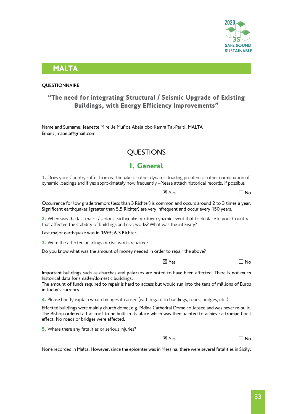

#### MALTA

#### **QUESTIONNAIRE**

#### "The need for integrating Structural / Seismic Upgrade of Existing Buildings, with Energy Efficiency Improvements"

Name and Surname: Jeanette Mireille Muñoz Abela obo Kamra Tal-Periti, MALTA Email: jmabela@gmail.com

#### **OUESTIONS**

### I. General

1. Does your Country suffer from earthquake or other dynamic loading problem or other combination of dynamic loadings and if yes approximately how frequently –Please attach historical records, if possible.

 $\overline{X}$  Yes  $\overline{X}$  Yes  $\overline{X}$ 

Occurrence for low grade tremors (less than 3 Richter) is common and occurs around 2 to 3 times a year. Significant earthquakes (greater than 5.5 Richter) are very infrequent and occur every 150 years.

2. When was the last major / serious earthquake or other dynamic event that took place in your Country that affected the stability of buildings and civil works? What was the intensity?

Last major earthquake was in 1693; 6.3 Richter.

**3.** Were the affected buildings or civil works repaired?

Do you know what was the amount of money needed in order to repair the above?

 $\boxtimes$  Yes  $\Box$  No

Important buildings such as churches and palazzos are noted to have been affected. There is not much historical data for smaller/domestic buildings.

The amount of funds required to repair is hard to access but would run into the tens of millions of Euros in today's currency.

4. Please briefly explain what damages it caused (with regard to buildings, roads, bridges, etc.)

Effected buildings were mainly church dome; e.g. Mdina Cathedral Dome collapsed and was never re-built. The Bishop ordered a flat roof to be built in its place which was then painted to achieve a trompe l'oeil effect. No roads or bridges were affected.

**5.** Where there any fatalities or serious injuries?

 $\overline{\mathsf{x}}$  Yes  $\overline{\mathsf{x}}$  Yes  $\overline{\mathsf{x}}$ 

None recorded in Malta. However, since the epicenter was in Messina, there were several fatalities in Sicily.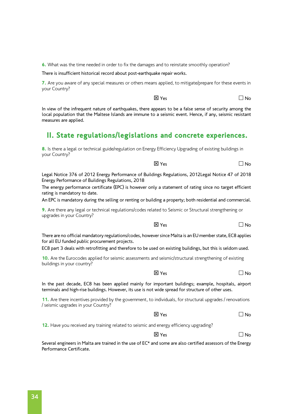6. What was the time needed in order to fix the damages and to reinstate smoothly operation?

There is insufficient historical record about post-earthquake repair works.

7. Are you aware of any special measures or others means applied, to mitigate/prepare for these events in your Country?

 $\boxtimes$  Yes  $\Box$  No

 $\boxtimes$  Yes  $\Box$  No

In view of the infrequent nature of earthquakes, there appears to be a false sense of security among the local population that the Maltese Islands are immune to a seismic event. Hence, if any, seismic resistant measures are applied.

## II. State regulations/legislations and concrete experiences.

8. Is there a legal or technical guide/regulation on Energy Efficiency Upgrading of existing buildings in your Country?

Legal Notice 376 of 2012 Energy Performance of Buildings Regulations, 2012Legal Notice 47 of 2018 Energy Performance of Buildings Regulations, 2018

The energy performance certificate (EPC) is however only a statement of rating since no target efficient rating is mandatory to date.

An EPC is mandatory during the selling or renting or building a property; both residential and commercial.

9. Are there any legal or technical regulations/codes related to Seismic or Structural strengthening or upgrades in your Country?

There are no official mandatory regulations/codes, however since Malta is an EU member state, EC8 applies for all EU funded public procurement projects.

EC8 part 3 deals with retrofitting and therefore to be used on existing buildings, but this is seldom used.

10. Are the Eurocodes applied for seismic assessments and seismic/structural strengthening of existing buildings in your country?

In the past decade, EC8 has been applied mainly for important buildings; example, hospitals, airport terminals and high-rise buildings. However, its use is not wide spread for structure of other uses.

11. Are there incentives provided by the government, to individuals, for structural upgrades / renovations / seismic upgrades in your Country?

 $\boxtimes$  Yes  $\Box$  No

12. Have you received any training related to seismic and energy efficiency upgrading?

 $\overline{X}$  Yes  $\overline{X}$  Yes  $\overline{X}$ 

Several engineers in Malta are trained in the use of  $EC^*$  and some are also certified assessors of the Energy Performance Certificate.

 $\overline{X}$  Yes  $\overline{X}$  Yes  $\overline{X}$ 

 $\overline{X}$  Yes  $\overline{X}$  Yes  $\overline{X}$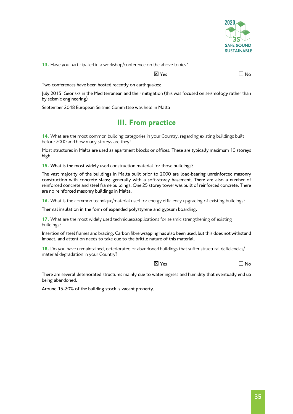

13. Have you participated in a workshop/conference on the above topics?

 $\overline{\mathsf{X}}$  Yes  $\overline{\mathsf{N}}$  Yes  $\overline{\mathsf{N}}$ 

Two conferences have been hosted recently on earthquakes:

July 2015 Georisks in the Mediterranean and their mitigation (this was focused on seismology rather than by seismic engineering)

September 2018 European Seismic Committee was held in Malta

### III. From practice

14. What are the most common building categories in your Country, regarding existing buildings built before 2000 and how many storeys are they?

Most structures in Malta are used as apartment blocks or offices. These are typically maximum 10 storeys high.

15. What is the most widely used construction material for those buildings?

The vast majority of the buildings in Malta built prior to 2000 are load-bearing unreinforced masonry construction with concrete slabs; generally with a soft-storey basement. There are also a number of reinforced concrete and steel frame buildings. One 25 storey tower was built of reinforced concrete. There are no reinforced masonry buildings in Malta.

16. What is the common technique/material used for energy efficiency upgrading of existing buildings?

Thermal insulation in the form of expanded polystyrene and gypsum boarding.

17. What are the most widely used techniques/applications for seismic strengthening of existing buildings?

Insertion of steel frames and bracing. Carbon fibre wrapping has also been used, but this does not withstand impact, and attention needs to take due to the brittle nature of this material.

18. Do you have unmaintained, deteriorated or abandoned buildings that suffer structural deficiencies/ material degradation in your Country?

 $\overline{\mathsf{x}}$  Yes  $\overline{\mathsf{x}}$  Yes  $\overline{\mathsf{x}}$ 

There are several deteriorated structures mainly due to water ingress and humidity that eventually end up being abandoned.

Around 15-20% of the building stock is vacant property.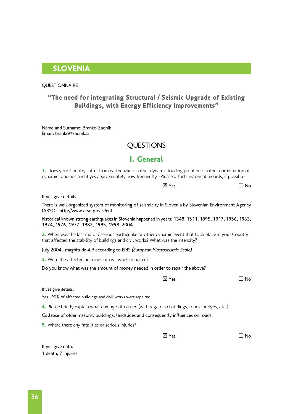#### SLOVENIA

#### *<u>OUESTIONNAIRE</u>*

#### "The need for integrating Structural / Seismic Upgrade of Existing Buildings, with Energy Efficiency Improvements"

Name and Surname: Branko Zadnik Email: branko@zadnik.si

#### **QUESTIONS**

#### I. General

1. Does your Country suffer from earthquake or other dynamic loading problem or other combination of dynamic loadings and if yes approximately how frequently –Please attach historical records, if possible.

 $\overline{\mathsf{X}}$  Yes  $\overline{\mathsf{N}}$  Yes  $\overline{\mathsf{N}}$ 

| If yes give details.                                                                                                                                                                        |              |    |
|---------------------------------------------------------------------------------------------------------------------------------------------------------------------------------------------|--------------|----|
| There is well organized system of monitoring of seismicity in Slovenia by Slovenian Environment Agency<br>(ARSO - http://www.arso.gov.si/en)                                                |              |    |
| historical known strong earthquakes in Slovenia happened in years: 1348, 1511, 1895, 1917, 1956, 1963,<br>1974, 1976, 1977, 1982, 1995, 1998, 2004.                                         |              |    |
| 2. When was the last major / serious earthquake or other dynamic event that took place in your Country<br>that affected the stability of buildings and civil works? What was the intensity? |              |    |
| July 2004, magnitude 4,9 according to EMS (European Macroseismic Scale)                                                                                                                     |              |    |
| <b>3.</b> Were the affected buildings or civil works repaired?                                                                                                                              |              |    |
| Do you know what was the amount of money needed in order to repair the above?                                                                                                               |              |    |
|                                                                                                                                                                                             | <b>区 Yes</b> | No |
| If yes give details.                                                                                                                                                                        |              |    |
| Yes, 90% of affected buildings and civil works were repaired                                                                                                                                |              |    |
| 4. Please briefly explain what damages it caused (with regard to buildings, roads, bridges, etc.)                                                                                           |              |    |

Collapse of older masonry buildings, landslides and consequently influences on roads,

**5.** Where there any fatalities or serious injuries?

 $\boxtimes$  Yes  $\Box$  No

If yes give data. 1 death, 7 injuries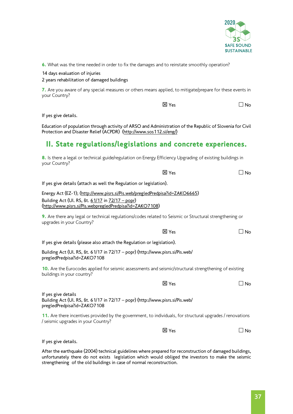

6. What was the time needed in order to fix the damages and to reinstate smoothly operation?

14 days evaluation of injuries

2 years rehabilitation of damaged buildings

7. Are you aware of any special measures or others means applied, to mitigate/prepare for these events in your Country?

 $\boxtimes$  Yes  $\Box$  No

If yes give details.

Education of population through activity of ARSO and Administration of the Republic of Slovenia for Civil Protection and Disaster Relief (ACPDR) [\(http://www.sos112.si/eng/\)](http://www.sos112.si/eng/))

### II. State regulations/legislations and concrete experiences.

8. Is there a legal or technical guide/regulation on Energy Efficiency Upgrading of existing buildings in your Country?

|                                                                              | <b>X</b> Yes | ∣No |
|------------------------------------------------------------------------------|--------------|-----|
| If yes give details (attach as well the Regulation or legislation).          |              |     |
| Energy Act (EZ-1); (http://www.pisrs.si/Pis.web/pregledPredpisa?id=ZAKO6665) |              |     |
| Building Act (Ul. RS, št. 61/17 in 72/17 - popr)                             |              |     |
| (http://www.pisrs.si/Pis.webpregledPredpisa?id=ZAKO7108)                     |              |     |

9. Are there any legal or technical regulations/codes related to Seismic or Structural strengthening or upgrades in your Country?

If yes give details (please also attach the Regulation or legislation).

Building Act (Ul. RS, št. [61/17](http://www.uradni-list.si/1/objava.jsp?sop=2017-01-2914) in [72/17 – popr\)](http://www.uradni-list.si/1/objava.jsp?sop=2017-21-3507) [\(http://www.pisrs.si/Pis.web/](http://www.pisrs.si/Pis.web/pregledPredpisa?id=ZAKO7108) [pregledPredpisa?id=ZAKO7108](http://www.pisrs.si/Pis.web/pregledPredpisa?id=ZAKO7108)

10. Are the Eurocodes applied for seismic assessments and seismic/structural strengthening of existing buildings in your country?

 $\overline{\mathsf{x}}$  Yes  $\overline{\mathsf{x}}$  Yes  $\overline{\mathsf{x}}$ 

If yes give details Building Act (Ul. RS, št. [61/17](http://www.uradni-list.si/1/objava.jsp?sop=2017-01-2914) in [72/17 – popr\)](http://www.uradni-list.si/1/objava.jsp?sop=2017-21-3507) [\(http://www.pisrs.si/Pis.web/](http://www.pisrs.si/Pis.web/pregledPredpisa?id=ZAKO7108) [pregledPredpisa?id=ZAKO7108](http://www.pisrs.si/Pis.web/pregledPredpisa?id=ZAKO7108)

11. Are there incentives provided by the government, to individuals, for structural upgrades / renovations / seismic upgrades in your Country?

 $\boxtimes$  Yes  $\Box$  No

 $\boxtimes$  Yes  $\Box$  No

If yes give details.

After the earthquake (2004) technical guidelines where prepared for reconstruction of damaged buildings, unfortunately there do not exists legislation which would obliged the investors to make the seismic strengthening of the old buildings in case of normal reconstruction.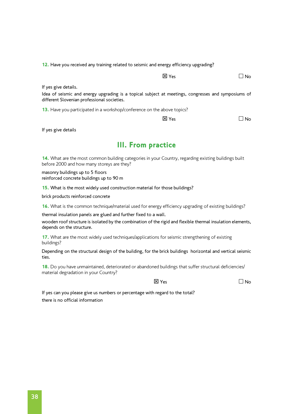12. Have you received any training related to seismic and energy efficiency upgrading?

 $\boxtimes$  Yes  $\Box$  No

If yes give details.

Idea of seismic and energy upgrading is a topical subject at meetings, congresses and symposiums of different Slovenian professional societies.

13. Have you participated in a workshop/conference on the above topics?

 $\boxtimes$  Yes  $\Box$  No

If yes give details

#### III. From practice

14. What are the most common building categories in your Country, regarding existing buildings built before 2000 and how many storeys are they?

masonry buildings up to 5 floors reinforced concrete buildings up to 90 m

15. What is the most widely used construction material for those buildings?

brick products reinforced concrete

16. What is the common technique/material used for energy efficiency upgrading of existing buildings?

thermal insulation panels are glued and further fixed to a wall.

wooden roof structure is isolated by the combination of the rigid and flexible thermal insulation elements, depends on the structure.

17. What are the most widely used techniques/applications for seismic strengthening of existing buildings?

Depending on the structural design of the building, for the brick buildings horizontal and vertical seismic ties.

18. Do you have unmaintained, deteriorated or abandoned buildings that suffer structural deficiencies/ material degradation in your Country?

 $\boxtimes$  Yes  $\Box$  No.

If yes can you please give us numbers or percentage with regard to the total? there is no official information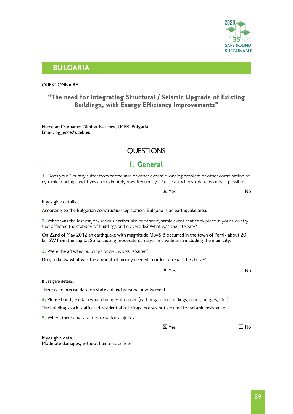

#### BULGARIA

#### **OUESTIONNAIRE**

#### "The need for integrating Structural / Seismic Upgrade of Existing Buildings, with Energy Efficiency Improvements"

Name and Surname: Dimitar Natchev, UCEB, Bulgaria Email: [bg\\_ecce@uceb.eu](mailto:bg_ecce@uceb.eu)

#### QUESTIONS

#### I. General

1. Does your Country suffer from earthquake or other dynamic loading problem or other combination of dynamic loadings and if yes approximately how frequently –Please attach historical records, if possible.

If yes give details.

According to the Bulgarian construction legislation, Bulgaria is an earthquake area.

2. When was the last major / serious earthquake or other dynamic event that took place in your Country that affected the stability of buildings and civil works? What was the intensity?

On 22nd of May 2012 an earthquake with magnitude Мs=5.8 occurred in the town of Pernik about 20 km SW from the capital Sofia causing moderate damages in a wide area including the main city.

**3.** Were the affected buildings or civil works repaired?

Do you know what was the amount of money needed in order to repair the above?

 $\boxtimes$  Yes  $\Box$  No

 $\overline{\mathsf{x}}$  Yes  $\overline{\mathsf{x}}$  Yes  $\overline{\mathsf{x}}$ 

If yes give details.

There is no precise data on state aid and personal involvement

4. Please briefly explain what damages it caused (with regard to buildings, roads, bridges, etc.)

The building stock is affected-residential buildings, houses not secured for seismic resistance

**5.** Where there any fatalities or serious injuries?

 $\overline{\mathsf{X}}$  Yes  $\overline{\mathsf{N}}$  Yes

If yes give data. Moderate damages, without human sacrifices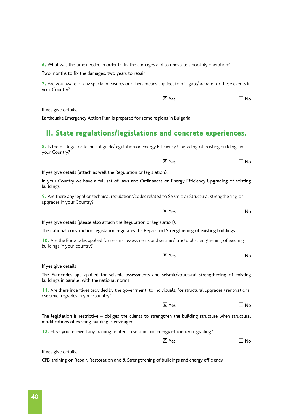6. What was the time needed in order to fix the damages and to reinstate smoothly operation?

Two months to fix the damages, two years to repair

7. Are you aware of any special measures or others means applied, to mitigate/prepare for these events in your Country?

| 区 Yes | $\Box$ No |
|-------|-----------|
|-------|-----------|

If yes give details.

your Country?

Earthquake Emergency Action Plan is prepared for some regions in Bulgaria

#### II. State regulations/legislations and concrete experiences.

8. Is there a legal or technical guide/regulation on Energy Efficiency Upgrading of existing buildings in

|                                                                                                                                                               | 区 Yes           | No        |
|---------------------------------------------------------------------------------------------------------------------------------------------------------------|-----------------|-----------|
| If yes give details (attach as well the Regulation or legislation).                                                                                           |                 |           |
| In your Country we have a full set of laws and Ordinances on Energy Efficiency Upgrading of existing<br>buildings                                             |                 |           |
| 9. Are there any legal or technical regulations/codes related to Seismic or Structural strengthening or<br>upgrades in your Country?                          |                 |           |
|                                                                                                                                                               | 区 Yes           | ∃ No      |
| If yes give details (please also attach the Regulation or legislation).                                                                                       |                 |           |
| The national construction legislation regulates the Repair and Strengthening of existing buildings.                                                           |                 |           |
| 10. Are the Eurocodes applied for seismic assessments and seismic/structural strengthening of existing<br>buildings in your country?                          |                 |           |
|                                                                                                                                                               | 区 Yes           | J No      |
| If yes give details                                                                                                                                           |                 |           |
| The Eurocodes ape applied for seismic assessments and seismic/structural strengthening of existing<br>buildings in parallel with the national norms.          |                 |           |
| 11. Are there incentives provided by the government, to individuals, for structural upgrades / renovations<br>/ seismic upgrades in your Country?             |                 |           |
|                                                                                                                                                               | $\boxtimes$ Yes | ⊿ No      |
| The legislation is restrictive - obliges the clients to strengthen the building structure when structural<br>modifications of existing building is envisaged. |                 |           |
| 12. Have you received any training related to seismic and energy efficiency upgrading?                                                                        |                 |           |
|                                                                                                                                                               | <b>区</b> Yes    | $\Box$ No |
| If yes give details.                                                                                                                                          |                 |           |

CPD training on Repair, Restoration and & Strengthening of buildings and energy efficiency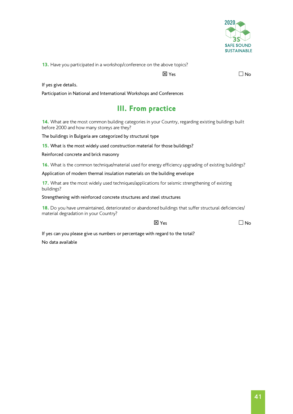

13. Have you participated in a workshop/conference on the above topics?

 $\overline{X}$  Yes  $\overline{X}$  Yes  $\overline{X}$ 

If yes give details.

Participation in National and International Workshops and Conferences

## III. From practice

14. What are the most common building categories in your Country, regarding existing buildings built before 2000 and how many storeys are they?

The buildings in Bulgaria are categorized by structural type

15. What is the most widely used construction material for those buildings?

Reinforced concrete and brick masonry

16. What is the common technique/material used for energy efficiency upgrading of existing buildings?

Application of modern thermal insulation materials on the building envelope

17. What are the most widely used techniques/applications for seismic strengthening of existing buildings?

Strengthening with reinforced concrete structures and steel structures

18. Do you have unmaintained, deteriorated or abandoned buildings that suffer structural deficiencies/ material degradation in your Country?

 $\overline{\mathsf{x}}$  Yes  $\overline{\mathsf{x}}$  Yes  $\overline{\mathsf{x}}$ 

If yes can you please give us numbers or percentage with regard to the total? No data available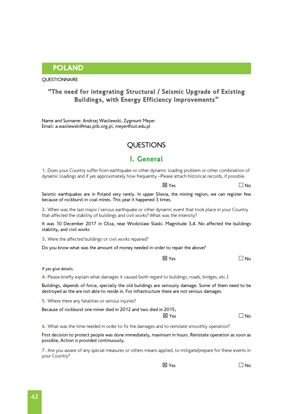POLAND

#### "The need for integrating Structural / Seismic Upgrade of Existing Buildings, with Energy Efficiency Improvements"

Name and Surname: Andrzej Wasilewski, Zygmunt Meyer Email: [a.wasilewski@maz.piib.org.pl](mailto:a.wasilewski@maz.piib.org.pl), [meyer@zut.edu.pl](mailto:meyer@zut.edu.pl) 

### **OUESTIONS**

#### I. General

1. Does your Country suffer from earthquake or other dynamic loading problem or other combination of dynamic loadings and if yes approximately how frequently –Please attach historical records, if possible.

 $\overline{\mathsf{x}}$  Yes  $\overline{\mathsf{x}}$  Yes  $\overline{\mathsf{x}}$ 

Seismic earthquakes are in Poland very rarely. In upper Silesia, the mining region, we can register few because of rockburst in coal mines. This year it happened 3 times.

2. When was the last major / serious earthquake or other dynamic event that took place in your Country that affected the stability of buildings and civil works? What was the intensity?

It was 10 December 2017 in Olza, near Wodzislaw Slaski. Magnitude 3,4. No affected the buildings stability, and civil works

**3.** Were the affected buildings or civil works repaired?

Do you know what was the amount of money needed in order to repair the above?

 $\boxtimes$  Yes  $\Box$  No

If yes give details.

4. Please briefly explain what damages it caused (with regard to buildings, roads, bridges, etc.)

Buildings, depends of force, specially the old buildings are seriously damage. Some of them need to be destroyed as the are not able to reside in. For infrastructure there are not serious damages.

**5.** Where there any fatalities or serious injuries?

Because of rockburst one miner died in 2012 and two died in 2015,

 $\boxtimes$  Yes  $\Box$  No

6. What was the time needed in order to fix the damages and to reinstate smoothly operation?

First decision to protect people was done immediately, maximum in hours. Reinstate operation as soon as possible, Action is provided continuously.

7. Are you aware of any special measures or others means applied, to mitigate/prepare for these events in your Country?

 $\boxtimes$  Yes  $\Box$  No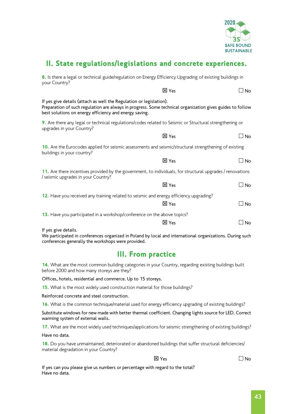

## II. State regulations/legislations and concrete experiences.

| 8. Is there a legal or technical guide/regulation on Energy Efficiency Upgrading of existing buildings in<br>your Country?                                                                                                                 |                           |           |
|--------------------------------------------------------------------------------------------------------------------------------------------------------------------------------------------------------------------------------------------|---------------------------|-----------|
|                                                                                                                                                                                                                                            | <b>区 Yes</b>              | $\Box$ No |
| If yes give details (attach as well the Regulation or legislation).<br>Preparation of such regulation are always in progress. Some technical organization gives guides to follow<br>best solutions on energy efficiency and energy saving. |                           |           |
| 9. Are there any legal or technical regulations/codes related to Seismic or Structural strengthening or<br>upgrades in your Country?                                                                                                       |                           |           |
|                                                                                                                                                                                                                                            | $X$ Yes                   | $\Box$ No |
| 10. Are the Eurocodes applied for seismic assessments and seismic/structural strengthening of existing<br>buildings in your country?                                                                                                       |                           |           |
|                                                                                                                                                                                                                                            | <b>区 Yes</b>              | $\Box$ No |
| 11. Are there incentives provided by the government, to individuals, for structural upgrades / renovations<br>/ seismic upgrades in your Country?                                                                                          |                           |           |
|                                                                                                                                                                                                                                            | <b>区 Yes</b>              | $\Box$ No |
| 12. Have you received any training related to seismic and energy efficiency upgrading?                                                                                                                                                     | <b>区</b> Yes              | $\Box$ No |
| 13. Have you participated in a workshop/conference on the above topics?                                                                                                                                                                    | <b>区</b> Yes              | $\Box$ No |
| If yes give details.<br>We participated in conferences organized in Poland by local and international organizations. During such<br>conferences generally the workshops were provided.                                                     |                           |           |
|                                                                                                                                                                                                                                            | <b>III. From practice</b> |           |
| 14. What are the most common building categories in your Country, regarding existing buildings built<br>before 2000 and how many storeys are they?                                                                                         |                           |           |
| Offices, hotels, residential and commerce. Up to 15 storeys.                                                                                                                                                                               |                           |           |
| 15. What is the most widely used construction material for those buildings?                                                                                                                                                                |                           |           |
| Reinforced concrete and steel construction.                                                                                                                                                                                                |                           |           |
| 16. What is the common technique/material used for energy efficiency upgrading of existing buildings?                                                                                                                                      |                           |           |
| Substitute windows for new made with better thermal coefficient. Changing lights source for LED. Correct<br>warming system of external walls.                                                                                              |                           |           |
| 17. What are the most widely used techniques/applications for seismic strengthening of existing buildings?                                                                                                                                 |                           |           |

Have no data.

18. Do you have unmaintained, deteriorated or abandoned buildings that suffer structural deficiencies/ material degradation in your Country?

 $\boxtimes$  Yes  $\Box$  No

If yes can you please give us numbers or percentage with regard to the total? Have no data.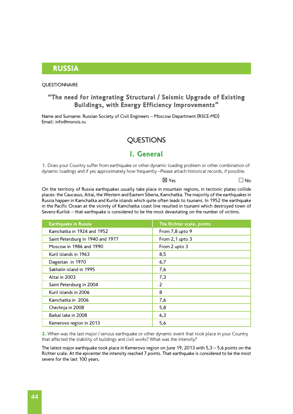#### RUSSIA

#### **OUESTIONNAIRE**

#### "The need for integrating Structural / Seismic Upgrade of Existing Buildings, with Energy Efficiency Improvements"

Name and Surname: Russian Society of Civil Engineers – Moscow Department (RSCE-MD) Email: [info@morois.ru](mailto:info@morois.ru)

#### **QUESTIONS**

#### I. General

1. Does vour Country suffer from earthquake or other dynamic loading problem or other combination of dynamic loadings and if yes approximately how frequently –Please attach historical records, if possible.

 $\boxtimes$  Yes  $\Box$  No

On the territory of Russia earthquakes usually take place in mountain regions, in tectonic plates collide places: the Caucasus, Altai, the Western and Eastern Siberia, Kamchatka. The majority of the earthquakes in Russia happen in Kamchatka and Kurile islands which quite often leads to tsunami. In 1952 the earthquake in the Pacific Ocean at the vicinity of Kamchatka coast line resulted in tsunami which destroyed town of Severo-Kurilsk – that earthquake is considered to be the most devastating on the number of victims.

| <b>Earthquake in Russia</b>       | The Richter scale, points |
|-----------------------------------|---------------------------|
| Kamchatka in 1924 and 1952        | From 7,8 upto 9           |
| Saint Petersburg in 1940 and 1977 | From 2,1 upto 3           |
| Moscow in 1986 and 1990           | From 2 upto 3             |
| Kuril islands in 1963             | 8,5                       |
| Dagestan in 1970                  | 6,7                       |
| Sakhalin island in 1995           | 7,6                       |
| Altai in 2003                     | 7,3                       |
| Saint Petersburg in 2004          | 2                         |
| Kuril islands in 2006             | 8                         |
| Kamchatka in 2006                 | 7,6                       |
| Chechnja in 2008                  | 5,8                       |
| Baikal lake in 2008               | 6,3                       |
| Kemerovo region in 2013           | 5,6                       |

2. When was the last major / serious earthquake or other dynamic event that took place in your Country that affected the stability of buildings and civil works? What was the intensity?

The latest major earthquake took place in Kemerovo region on June 19, 2013 with 5,3 – 5,6 points on the Richter scale. At the epicenter the intensity reached 7 points. That earthquake is considered to be the most severe for the last 100 years.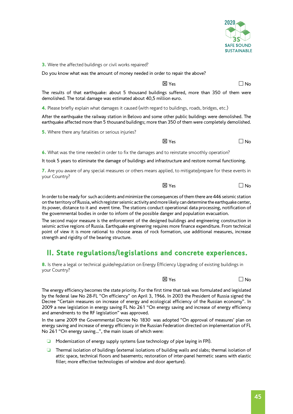

**3.** Were the affected buildings or civil works repaired?

Do you know what was the amount of money needed in order to repair the above?

 $\boxtimes$  Yes  $\Box$  No

The results of that earthquake: about 5 thousand buildings suffered, more than 350 of them were demolished. The total damage was estimated about 40,5 million euro.

4. Please briefly explain what damages it caused (with regard to buildings, roads, bridges, etc.)

After the earthquake the railway station in Belovo and some other public buildings were demolished. The earthquake affected more than 5 thousand buildings; more than 350 of them were completely demolished.

**5.** Where there any fatalities or serious injuries?

 $\boxtimes$  Yes  $\Box$  No

6. What was the time needed in order to fix the damages and to reinstate smoothly operation?

It took 5 years to eliminate the damage of buildings and infrastructure and restore normal functioning.

7. Are you aware of any special measures or others means applied, to mitigate/prepare for these events in your Country?

 $\boxtimes$  Yes  $\Box$  No

In order to be ready for such accidents and minimize the consequences of them there are 446 seismic station on the territory of Russia, which register seismic activity and more likely can determine the earthquake center, its power, distance to it and event time. The stations conduct operational data processing, notification of the governmental bodies in order to inform of the possible danger and population evacuation.

The second major measure is the enforcement of the designed buildings and engineering construction in seismic active regions of Russia. Earthquake engineering requires more finance expenditure. From technical point of view it is more rational to choose areas of rock formation, use additional measures, increase strength and rigidity of the bearing structure.

#### II. State regulations/legislations and concrete experiences.

8. Is there a legal or technical guide/regulation on Energy Efficiency Upgrading of existing buildings in your Country?

 $\overline{X}$  Yes  $\overline{X}$  Yes  $\overline{X}$ 

The energy efficiency becomes the state priority. For the first time that task was formulated and legislated by the federal law No 28-FL "On efficiency" on April 3, 1966. In 2003 the President of Russia signed the Decree "Certain measures on increase of energy and ecological efficiency of the Russian economy". In 2009 a new legislation in energy saving FL No 261 "On energy saving and increase of energy efficiency and amendments to the RF legislation" was approved.

In the same 2009 the Governmental Decree No 1830 was adopted "On approval of measures' plan on energy saving and increase of energy efficiency in the Russian Federation directed on implementation of FL No 261 "On energy saving…", the main issues of which were:

- ❏ Modernization of energy supply systems (use technology of pipe laying in FPI).
- ❏ Thermal isolation of buildings (external isolations of building walls and slabs; thermal isolation of attic space, technical floors and basements; restoration of inter-panel hermetic seams with elastic filler; more effective technologies of window and door aperture).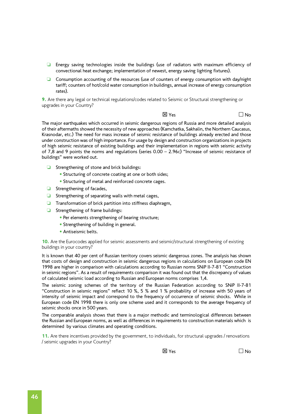- ❏ Energy saving technologies inside the buildings (use of radiators with maximum efficiency of convectional heat exchange; implementation of newest, energy saving lighting fixtures).
- ❏ Consumption accounting of the resources (use of counters of energy consumption with day/night tariff; counters of hot/cold water consumption in buildings, annual increase of energy consumption rates).

9. Are there any legal or technical regulations/codes related to Seismic or Structural strengthening or upgrades in your Country?

 $\boxtimes$  Yes  $\Box$  No

The major earthquakes which occurred in seismic dangerous regions of Russia and more detailed analysis of their aftermaths showed the necessity of new approaches (Kamchatka, Sakhalin, the Northern Caucasus, Krasnodar, etc.) The need for mass increase of seismic resistance of buildings already erected and those under construction was of high importance. For usage by design and construction organizations in projects of high seismic resistance of existing buildings and their implementation in regions with seismic activity of 7,8 and 9 points the norms and regulations (series 0.00 – 2.96c) "Increase of seismic resistance of buildings" were worked out.

- ❏ Strengthening of stone and brick buildings:
	- Structuring of concrete coating at one or both sides;
	- Structuring of metal and reinforced concrete cages.
- ❏ Strengthening of facades,
- ❏ Strengthening of separating walls with metal cages,
- ❏ Transformation of brick partition into stiffness diaphragm,
- ❏ Strengthening of frame buildings:
	- Per elements strengthening of bearing structure;
	- Strengthening of building in general.
	- Antiseismic belts.

10. Are the Eurocodes applied for seismic assessments and seismic/structural strengthening of existing buildings in your country?

It is known that 40 per cent of Russian territory covers seismic dangerous zones. The analysis has shown that costs of design and construction in seismic dangerous regions in calculations on European code EN 1998 are higher in comparison with calculations according to Russian norms SNiP II-7-81 "Construction in seismic regions". As a result of requirements comparison it was found out that the discrepancy of values of calculated seismic load according to Russian and European norms comprises 1,4.

The seismic zoning schemes of the territory of the Russian Federation according to SNiP II-7-81 "Construction in seismic regions" reflect 10 %, 5 % and 1 % probability of increase with 50 years of intensity of seismic impact and correspond to the frequency of occurrence of seismic shocks. While in European code EN 1998 there is only one scheme used and it corresponds to the average frequency of seismic shocks once in 500 years.

The comparable analysis shows that there is a major methodic and terminological differences between the Russian and European norms, as well as differences in requirements to construction materials which is determined by various climates and operating conditions.

11. Are there incentives provided by the government, to individuals, for structural upgrades / renovations / seismic upgrades in your Country?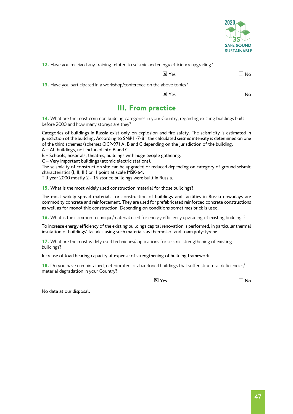

12. Have you received any training related to seismic and energy efficiency upgrading?

 $\overline{X}$  Yes  $\overline{X}$  Yes  $\overline{X}$ 

13. Have you participated in a workshop/conference on the above topics?

 $\boxtimes$  Yes  $\Box$  No

## III. From practice

14. What are the most common building categories in your Country, regarding existing buildings built before 2000 and how many storeys are they?

Categories of buildings in Russia exist only on explosion and fire safety. The seismicity is estimated in jurisdiction of the building. According to SNiP II-7-81 the calculated seismic intensity is determined on one of the third schemes (schemes OCP-97) A, B and C depending on the jurisdiction of the building.

A – All buildings, not included into B and C.

B – Schools, hospitals, theatres, buildings with huge people gathering.

C – Very important buildings (atomic electric stations).

The seismicity of construction site can be upgraded or reduced depending on category of ground seismic characteristics (I, II, III) on 1 point at scale MSK-64.

Till year 2000 mostly 2 - 16 storied buildings were built in Russia.

15. What is the most widely used construction material for those buildings?

The most widely spread materials for construction of buildings and facilities in Russia nowadays are commodity concrete and reinforcement. They are used for prefabricated reinforced concrete constructions as well as for monolithic construction. Depending on conditions sometimes brick is used.

16. What is the common technique/material used for energy efficiency upgrading of existing buildings?

To increase energy efficiency of the existing buildings capital renovation is performed, in particular thermal insulation of buildings' facades using such materials as thermoisol and foam polystyrene.

17. What are the most widely used techniques/applications for seismic strengthening of existing buildings?

Increase of load bearing capacity at expense of strengthening of building framework.

18. Do you have unmaintained, deteriorated or abandoned buildings that suffer structural deficiencies/ material degradation in your Country?

 $\overline{\mathsf{X}}$  Yes  $\overline{\mathsf{N}}$  Yes  $\overline{\mathsf{N}}$ 

No data at our disposal.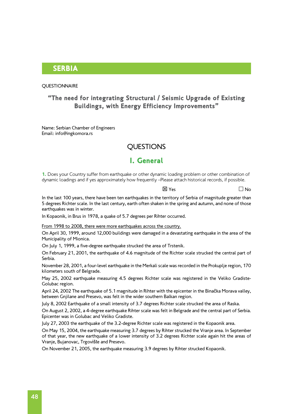#### **SERBIA**

#### **QUESTIONNAIRE**

#### "The need for integrating Structural / Seismic Upgrade of Existing Buildings, with Energy Efficiency Improvements"

Name: Serbian Chamber of Engineers Email: info@ingkomora.rs

#### **QUESTIONS**

#### I. General

1. Does your Country suffer from earthquake or other dynamic loading problem or other combination of dynamic loadings and if yes approximately how frequently –Please attach historical records, if possible.

 $\overline{\mathsf{X}}$  Yes  $\overline{\mathsf{N}}$  Yes  $\overline{\mathsf{N}}$ 

In the last 100 years, there have been ten earthquakes in the territory of Serbia of magnitude greater than 5 degrees Richter scale. In the last century, earth often shaken in the spring and autumn, and none of those earthquakes was in winter.

In Kopaonik, in Brus in 1978, a quake of 5.7 degrees per Rihter occurred.

From 1998 to 2008, there were more earthquakes across the country.

On April 30, 1999, around 12,000 buildings were damaged in a devastating earthquake in the area of the Municipality of Mionica.

On July 1, 1999, a five-degree earthquake strucked the area of Trstenik.

On February 21, 2001, the earthquake of 4.6 magnitude of the Richter scale strucked the central part of Serbia.

November 28, 2001, a four-level earthquake in the Merkali scale was recorded in the Prokuplje region, 170 kilometers south of Belgrade.

May 25, 2002 earthquake measuring 4.5 degrees Richter scale was registered in the Veliko Gradiste-Golubac region.

April 24, 2002 The earthquake of 5.1 magnitude in Rihter with the epicenter in the Binačka Morava valley, between Gnjilane and Presevo, was felt in the wider southern Balkan region.

July 8, 2002 Earthquake of a small intensity of 3.7 degrees Richter scale strucked the area of Raska.

On August 2, 2002, a 4-degree earthquake Rihter scale was felt in Belgrade and the central part of Serbia. Epicenter was in Golubac and Veliko Gradiste.

July 27, 2003 the earthquake of the 3.2-degree Richter scale was registered in the Kopaonik area.

On May 15, 2004, the earthquake measuring 3.7 degrees by Rihter strucked the Vranje area. In September of that year, the new earthquake of a lower intensity of 3.2 degrees Richter scale again hit the areas of Vranje, Bujanovac, Trgovište and Presevo.

On November 21, 2005, the earthquake measuring 3.9 degrees by Rihter strucked Kopaonik.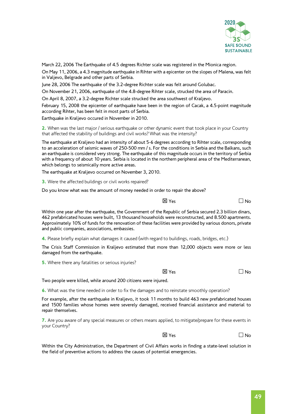

March 22, 2006 The Earthquake of 4.5 degrees Richter scale was registered in the Mionica region.

On May 11, 2006, a 4.3 magnitude earthquake in Rihter with a epicenter on the slopes of Malena, was felt in Valjevo, Belgrade and other parts of Serbia.

June 28, 2006 The earthquake of the 3.2-degree Richter scale was felt around Golubac.

On November 21, 2006, earthquake of the 4.8-degree Rihter scale, strucked the area of Paracin.

On April 8, 2007, a 3.2-degree Richter scale strucked the area southwest of Kraljevo.

February 15, 2008 the epicenter of earthquake have been in the region of Cacak, a 4.5-point magnitude according Rihter, has been felt in most parts of Serbia.

Earthquake in Kraljevo occured in November in 2010.

2. When was the last major / serious earthquake or other dynamic event that took place in your Country that affected the stability of buildings and civil works? What was the intensity?

The earthquake at Kraljevo had an intensity of about 5-6 degrees according to Rihter scale, corresponding to an acceleration of seismic waves of 250-500 mm / s. For the conditions in Serbia and the Balkans, such an earthquake is considered very strong. The earthquake of this magnitude occurs in the territory of Serbia with a frequency of about 10 years. Serbia is located in the northern peripheral area of the Mediterranean, which belongs to seismically more active areas.

The earthquake at Kraljevo occurred on November 3, 2010.

**3.** Were the affected buildings or civil works repaired?

Do you know what was the amount of money needed in order to repair the above?

 $\overline{\mathsf{x}}$  Yes  $\overline{\mathsf{x}}$  Yes  $\overline{\mathsf{x}}$ 

Within one year after the earthquake, the Government of the Republic of Serbia secured 2.3 billion dinars, 462 prefabricated houses were built, 13 thousand households were reconstructed, and 8.500 apartments. Approximately 10% of funds for the renovation of these facilities were provided by various donors, private and public companies, associations, embassies.

4. Please briefly explain what damages it caused (with regard to buildings, roads, bridges, etc.)

The Crisis Staff Commission in Kraljevo estimated that more than 12,000 objects were more or less damaged from the earthquake.

**5.** Where there any fatalities or serious injuries?

 $\boxtimes$  Yes  $\Box$  No

Two people were killed, while around 200 citizens were injured.

6. What was the time needed in order to fix the damages and to reinstate smoothly operation?

For example, after the earthquake in Kraljevo, it took 11 months to build 463 new prefabricated houses and 1500 families whose homes were severely damaged, received financial assistance and material to repair themselves.

7. Are you aware of any special measures or others means applied, to mitigate/prepare for these events in your Country?

 $\overline{\mathsf{x}}$  Yes  $\overline{\mathsf{x}}$  Yes  $\overline{\mathsf{x}}$ 

Within the City Administration, the Department of Civil Affairs works in finding a state-level solution in the field of preventive actions to address the causes of potential emergencies.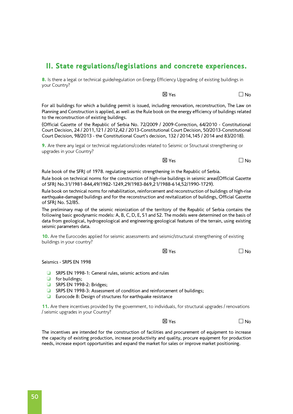#### II. State regulations/legislations and concrete experiences.

8. Is there a legal or technical guide/regulation on Energy Efficiency Upgrading of existing buildings in your Country?

 $\boxtimes$  Yes  $\Box$  No

For all buildings for which a building permit is issued, including renovation, reconstruction, The Law on Planning and Construction is applied, as well as the Rule book on the energy efficiency of buildings related to the reconstruction of existing buildings.

(Official Gazette of the Republic of Serbia No. 72/2009 / 2009-Correction, 64/2010 - Constitutional Court Decision, 24 / 2011,121 / 2012,42 / 2013-Constitutional Court Decision, 50/2013-Constitutional Court Decision, 98/2013 - the Constitutional Court's decision, 132 / 2014,145 / 2014 and 83/2018).

9. Are there any legal or technical regulations/codes related to Seismic or Structural strengthening or upgrades in your Country?

 $\overline{\mathsf{x}}$  Yes  $\overline{\mathsf{x}}$  Yes  $\overline{\mathsf{x}}$ 

Rule book of the SFRJ of 1978. regulating seismic strengthening in the Republic of Serbia.

Rule book on technical norms for the construction of high-rise buildings in seismic areas(Official Gazette of SFRJ No.31/1981-844,49/1982-1249,29/1983-869,21/1988-614,52/1990-1729).

Rule book on technical norms for rehabilitation, reinforcement and reconstruction of buildings of high-rise earthquake-damaged buildings and for the reconstruction and revitalization of buildings, Official Gazette of SFRJ No. 52/85.

The preliminary map of the seismic reionization of the territory of the Republic of Serbia contains the following basic geodynamic models: A, B, C, D, E, S1 and S2. The models were determined on the basis of data from geological, hydrogeological and engineering-geological features of the terrain, using existing seismic parameters data.

10. Are the Eurocodes applied for seismic assessments and seismic/structural strengthening of existing buildings in your country?

 $\overline{X}$  Yes  $\overline{X}$  Yes  $\overline{X}$ 

Seismics - SRPS EN 1998

- ❏ SRPS EN 1998-1: General rules, seismic actions and rules
- ❏ for buildings;
- ❏ SRPS EN 1998-2: Bridges;
- ❏ SRPS EN 1998-3: Assessment of condition and reinforcement of buildings;
- ❏ Eurocode 8: Design of structures for earthquake resistance

11. Are there incentives provided by the government, to individuals, for structural upgrades / renovations / seismic upgrades in your Country?

 $\overline{\mathsf{x}}$  Yes  $\overline{\mathsf{x}}$  Yes  $\overline{\mathsf{x}}$ 

The incentives are intended for the construction of facilities and procurement of equipment to increase the capacity of existing production, increase productivity and quality, procure equipment for production needs, increase export opportunities and expand the market for sales or improve market positioning.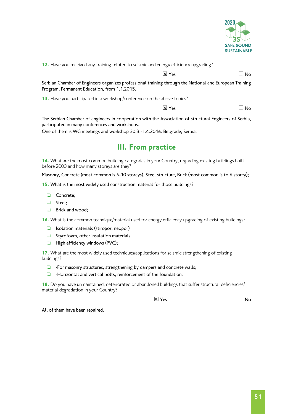

12. Have you received any training related to seismic and energy efficiency upgrading?

 $\overline{X}$  Yes  $\overline{X}$  Yes  $\overline{X}$ 

Serbian Chamber of Engineers organizes professional training through the National and European Training Program, Permanent Education, from 1.1.2015.

13. Have you participated in a workshop/conference on the above topics?

 $\overline{X}$  Yes  $\overline{X}$  Yes  $\overline{X}$ 

The Serbian Chamber of engineers in cooperation with the Association of structural Engineers of Serbia, participated in many conferences and workshops.

One of them is WG meetings and workshop 30.3.-1.4.2016. Belgrade, Serbia.

### III. From practice

14. What are the most common building categories in your Country, regarding existing buildings built before 2000 and how many storeys are they?

Masonry, Concrete (most common is 6-10 storeys), Steel structure, Brick (most common is to 6 storey);

15. What is the most widely used construction material for those buildings?

- ❏ Concrete;
- ❏ Steel;
- ❏ Brick and wood;

16. What is the common technique/material used for energy efficiency upgrading of existing buildings?

- ❏ Isolation materials (stiropor, neopor)
- ❏ Styrofoam, other insulation materials
- ❏ High efficiency windows (PVC);

17. What are the most widely used techniques/applications for seismic strengthening of existing buildings?

- ❏ -For masonry structures, strengthening by dampers and concrete walls;
- ❏ -Horizontal and vertical bolts, reinforcement of the foundation.

18. Do you have unmaintained, deteriorated or abandoned buildings that suffer structural deficiencies/ material degradation in your Country?

 $\overline{\mathsf{X}}$  Yes  $\overline{\mathsf{N}}$  Yes  $\overline{\mathsf{N}}$ 

All of them have been repaired.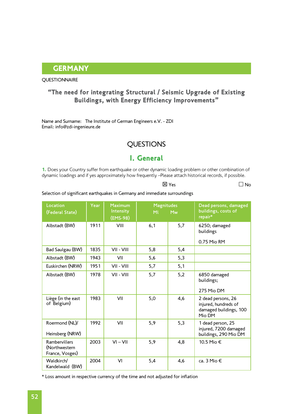#### **GERMANY**

#### **QUESTIONNAIRE**

#### "The need for integrating Structural / Seismic Upgrade of Existing Buildings, with Energy Efficiency Improvements"

Name and Surname: The Institute of German Engineers e.V. - ZDI Email: [info@zdi-ingenieure.de](mailto:info@zdi-ingenieure.de)

#### QUESTIONS

### I. General

1. Does your Country suffer from earthquake or other dynamic loading problem or other combination of dynamic loadings and if yes approximately how frequently –Please attach historical records, if possible.

 $\boxtimes$  Yes  $\Box$  No

#### Selection of significant earthquakes in Germany and immediate surroundings

| Location<br>(Federal State)                              | Year | <b>Maximum</b><br>Intensity<br>(EMS-98) | <b>Magnitudes</b><br>MI | Mw  | Dead persons, damaged<br>buildings, costs of<br>repair*                        |
|----------------------------------------------------------|------|-----------------------------------------|-------------------------|-----|--------------------------------------------------------------------------------|
| Albstadt (BW)                                            | 1911 | VIII                                    | 6,1                     | 5,7 | 6250; damaged<br>buildings<br>0.75 Mio RM                                      |
| Bad Saulgau (BW)                                         | 1835 | VII - VIII                              | 5,8                     | 5,4 |                                                                                |
| Albstadt (BW)                                            | 1943 | VII                                     | 5,6                     | 5,3 |                                                                                |
| Euskirchen (NRW)                                         | 1951 | VII - VIII                              | 5,7                     | 5,1 |                                                                                |
| Albstadt (BW)                                            | 1978 | VII - VIII                              | 5,7                     | 5,2 | 6850 damaged<br>buildings;<br>275 Mio DM                                       |
| Liège (in the east<br>of Belgium)                        | 1983 | VII                                     | 5,0                     | 4,6 | 2 dead persons, 26<br>injured, hundreds of<br>damaged buildings, 100<br>Mio DM |
| Roermond (NL)/<br>Heinsberg (NRW)                        | 1992 | VII                                     | 5,9                     | 5,3 | 1 dead person, 25<br>injured, 7200 damaged<br>buildings, 290 Mio DM            |
| <b>Rambervillers</b><br>(Northwestern<br>France, Vosges) | 2003 | $VI - VII$                              | 5,9                     | 4,8 | 10.5 Mio €                                                                     |
| Waldkirch/<br>Kandelwald (BW)                            | 2004 | VI                                      | 5,4                     | 4,6 | ca. 3 Mio $\in$                                                                |

\* Loss amount in respective currency of the time and not adjusted for inflation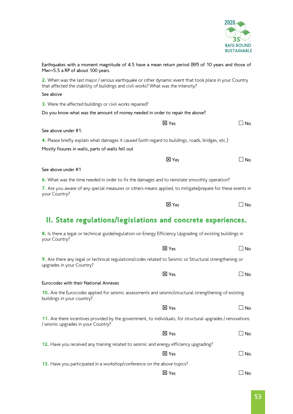

| Earthquakes with a moment magnitude of 4.5 have a mean return period (RP) of 10 years and those of<br>Mw>=5.5 a RP of about 100 years.                                                      |              |           |
|---------------------------------------------------------------------------------------------------------------------------------------------------------------------------------------------|--------------|-----------|
| 2. When was the last major / serious earthquake or other dynamic event that took place in your Country<br>that affected the stability of buildings and civil works? What was the intensity? |              |           |
| See above                                                                                                                                                                                   |              |           |
| 3. Were the affected buildings or civil works repaired?                                                                                                                                     |              |           |
| Do you know what was the amount of money needed in order to repair the above?                                                                                                               |              |           |
|                                                                                                                                                                                             | <b>区 Yes</b> | J No      |
| See above under #1.                                                                                                                                                                         |              |           |
| 4. Please briefly explain what damages it caused (with regard to buildings, roads, bridges, etc.)<br>Mostly fissures in walls, parts of walls fell out                                      |              |           |
|                                                                                                                                                                                             | <b>区</b> Yes | ⊿ No      |
| See above under #1                                                                                                                                                                          |              |           |
| 6. What was the time needed in order to fix the damages and to reinstate smoothly operation?                                                                                                |              |           |
| 7. Are you aware of any special measures or others means applied, to mitigate/prepare for these events in<br>your Country?                                                                  |              |           |
|                                                                                                                                                                                             | <b>区</b> Yes | ∃ No      |
| II. State regulations/legislations and concrete experiences.                                                                                                                                |              |           |
| 8. Is there a legal or technical guide/regulation on Energy Efficiency Upgrading of existing buildings in<br>your Country?                                                                  |              |           |
|                                                                                                                                                                                             | <b>区 Yes</b> | $\Box$ No |
| 9. Are there any legal or technical regulations/codes related to Seismic or Structural strengthening or<br>upgrades in your Country?                                                        |              |           |
|                                                                                                                                                                                             | <b>区 Yes</b> | ⊿ No      |
| Eurocodes with their National Annexes                                                                                                                                                       |              |           |
| 10. Are the Eurocodes applied for seismic assessments and seismic/structural strengthening of existing<br>buildings in your country?                                                        |              |           |
|                                                                                                                                                                                             | <b>区</b> Yes | ⊿ No      |
| 11. Are there incentives provided by the government, to individuals, for structural upgrades / renovations<br>/ seismic upgrades in your Country?                                           |              |           |
|                                                                                                                                                                                             | <b>区</b> Yes | $\Box$ No |
| 12. Have you received any training related to seismic and energy efficiency upgrading?                                                                                                      |              |           |
|                                                                                                                                                                                             | <b>区</b> Yes | ⊿ No      |
| 13. Have you participated in a workshop/conference on the above topics?                                                                                                                     |              |           |
|                                                                                                                                                                                             | 区 Yes        | No        |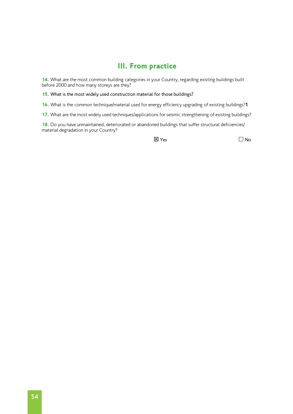#### III. From practice

14. What are the most common building categories in your Country, regarding existing buildings built before 2000 and how many storeys are they?

15. What is the most widely used construction material for those buildings?

16. What is the common technique/material used for energy efficiency upgrading of existing buildings?**1**

17. What are the most widely used techniques/applications for seismic strengthening of existing buildings?

18. Do you have unmaintained, deteriorated or abandoned buildings that suffer structural deficiencies/ material degradation in your Country?

 $\boxtimes$  Yes  $\Box$  No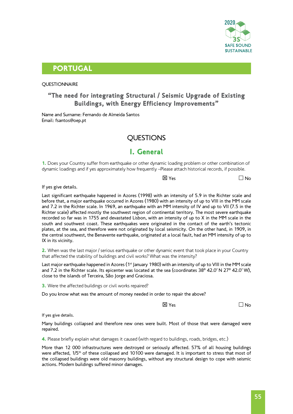

#### PORTUGAL

#### **OUESTIONNAIRE**

#### "The need for integrating Structural / Seismic Upgrade of Existing Buildings, with Energy Efficiency Improvements"

Name and Surname: Fernando de Almeida Santos Email: [fsantos@oep.pt](mailto:fsantos@oep.pt)

#### **OUESTIONS**

#### I. General

1. Does your Country suffer from earthquake or other dynamic loading problem or other combination of dynamic loadings and if yes approximately how frequently –Please attach historical records, if possible.

 $\boxtimes$  Yes  $\Box$  No

If yes give details.

Last significant earthquake happened in Azores (1998) with an intensity of 5.9 in the Richter scale and before that, a major earthquake occurred in Azores (1980) with an intensity of up to VIII in the MM scale and 7.2 in the Richter scale. In 1969, an earthquake with an MM intensity of IV and up to VII (7.5 in the Richter scale) affected mostly the southwest region of continental territory. The most severe earthquake recorded so far was in 1755 and devastated Lisbon, with an intensity of up to X in the MM scale in the south and southwest coast. These earthquakes were originated in the contact of the earth's tectonic plates, at the sea, and therefore were not originated by local seismicity. On the other hand, in 1909, in the central southwest, the Benavente earthquake, originated at a local fault, had an MM intensity of up to IX in its vicinity.

2. When was the last major / serious earthquake or other dynamic event that took place in your Country that affected the stability of buildings and civil works? What was the intensity?

Last major earthquake happened in Azores (1<sup>st</sup> January 1980) with an intensity of up to VIII in the MM scale and 7.2 in the Richter scale. Its epicenter was located at the sea (coordinates 38º 42.0′ N 27º 42.0′ W), close to the islands of Terceira, São Jorge and Graciosa.

**3.** Were the affected buildings or civil works repaired?

Do you know what was the amount of money needed in order to repair the above?

 $\overline{\mathsf{x}}$  Yes  $\overline{\mathsf{x}}$  Yes  $\overline{\mathsf{x}}$ 

If yes give details.

Many buildings collapsed and therefore new ones were built. Most of those that were damaged were repaired.

4. Please briefly explain what damages it caused (with regard to buildings, roads, bridges, etc.)

More than 12 000 infrastructures were destroyed or seriously affected. 57% of all housing buildings were affected, 1/5<sup>th</sup> of these collapsed and 10100 were damaged. It is important to stress that most of the collapsed buildings were old masonry buildings, without any structural design to cope with seismic actions. Modern buildings suffered minor damages.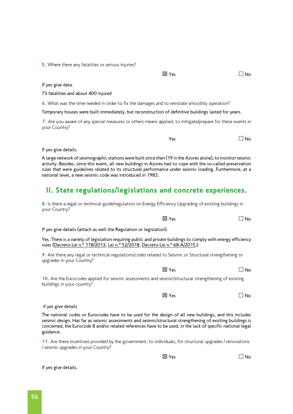If yes give details.

**5.** Where there any fatalities or serious injuries?

If yes give data.

73 fatalities and about 400 injured

6. What was the time needed in order to fix the damages and to reinstate smoothly operation?

Temporary houses were built immediately, but reconstruction of definitive buildings lasted for years.

7. Are you aware of any special measures or others means applied, to mitigate/prepare for these events in your Country?

If yes give details.

A large network of seismographic stations were built since then (19 in the Azores alone), to monitor seismic activity. Besides, since this event, all new buildings in Azores had to cope with the so-called preservation rules that were guidelines related to its structural performance under seismic loading. Furthermore, at a national level, a new seismic code was introduced in 1983.

## II. State regulations/legislations and concrete experiences.

8. Is there a legal or technical guide/regulation on Energy Efficiency Upgrading of existing buildings in your Country?

If yes give details (attach as well the Regulation or legislation).

Yes. There is a variety of legislation requiring public and private buildings to comply with energy efficiency rules (Decreto-Lei n.º 118/2013, Lei n.º [52/2018](https://www.sce.pt/wp-content/uploads/2018/09/Lei-52-2018_Legionela.pdf), [Decreto-Lei n](http://dre.pt/application/file/67123417).º 68-A/2015,)

9. Are there any legal or technical regulations/codes related to Seismic or Structural strengthening or upgrades in your Country?

10. Are the Eurocodes applied for seismic assessments and seismic/structural strengthening of existing buildings in your country?

 if yes give details The national codes or Eurocodes have to be used for the design of all new buildings, and this includes seismic design. Has far as seismic assessments and seismic/structural strengthening of existing buildings is concerned, the Eurocode 8 and/or related references have to be used, in the lack of specific national legal guidance.

11. Are there incentives provided by the government, to individuals, for structural upgrades / renovations / seismic upgrades in your Country?

 $\boxtimes$  Yes  $\Box$  No

 $\overline{X}$  Yes  $\overline{X}$  Yes  $\overline{X}$ 

 $\overline{\mathsf{X}}$  Yes  $\overline{\mathsf{N}}$  Yes

 $\overline{\mathsf{N}}$  Yes  $\overline{\mathsf{N}}$  Yes

 $Y$ es  $\Box$  No

 $\overline{\mathsf{x}}$  Yes  $\overline{\mathsf{x}}$  Yes  $\overline{\mathsf{x}}$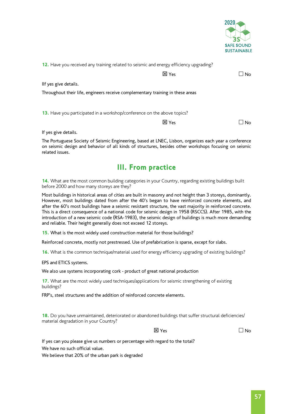

| 12. Have you received any training related to seismic and energy efficiency upgrading? |              |           |
|----------------------------------------------------------------------------------------|--------------|-----------|
|                                                                                        | <b>区 Yes</b> | <b>No</b> |
| Ilf yes give details.                                                                  |              |           |
| Throughout their life, engineers receive complementary training in these areas         |              |           |
|                                                                                        |              |           |
| 13. Have you participated in a workshop/conference on the above topics?                |              |           |
|                                                                                        | X Yes        | No        |
|                                                                                        |              |           |

If yes give details.

The Portuguese Society of Seismic Engineering, based at LNEC, Lisbon, organizes each year a conference on seismic design and behavior of all kinds of structures, besides other workshops focusing on seismic related issues.

#### III. From practice

14. What are the most common building categories in your Country, regarding existing buildings built before 2000 and how many storeys are they?

Most buildings in historical areas of cities are built in masonry and not height than 3 storeys, dominantly. However, most buildings dated from after the 40's began to have reinforced concrete elements, and after the 60's most buildings have a seismic resistant structure, the vast majority in reinforced concrete. This is a direct consequence of a national code for seismic design in 1958 (RSCCS). After 1985, with the introduction of a new seismic code (RSA-1983), the seismic design of buildings is much more demanding and reliable. Their height generally does not exceed 12 storeys.

15. What is the most widely used construction material for those buildings?

Reinforced concrete, mostly not prestressed. Use of prefabrication is sparse, except for slabs.

16. What is the common technique/material used for energy efficiency upgrading of existing buildings?

#### EPS and ETICS systems.

We also use systems incorporating cork - product of great national production

17. What are the most widely used techniques/applications for seismic strengthening of existing buildings?

FRP's, steel structures and the addition of reinforced concrete elements.

18. Do you have unmaintained, deteriorated or abandoned buildings that suffer structural deficiencies/ material degradation in your Country?

 $\boxtimes$  Yes  $\Box$  No

If yes can you please give us numbers or percentage with regard to the total? We have no such official value.

We believe that 20% of the urban park is degraded